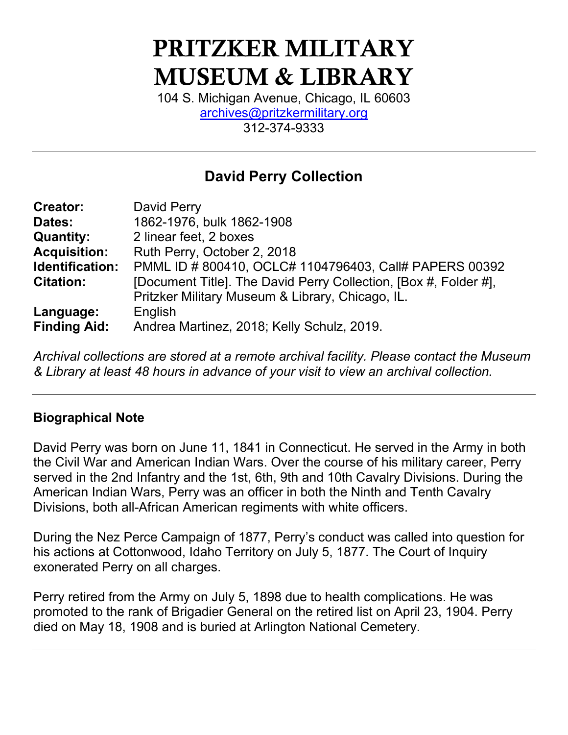# PRITZKER MILITARY MUSEUM & LIBRARY

104 S. Michigan Avenue, Chicago, IL 60603 [archives@pritzkermilitary.org](mailto:archives@pritzkermilitary.org) 312-374-9333

# **David Perry Collection**

| <b>Creator:</b>     | David Perry                                                      |
|---------------------|------------------------------------------------------------------|
| Dates:              | 1862-1976, bulk 1862-1908                                        |
| <b>Quantity:</b>    | 2 linear feet, 2 boxes                                           |
| <b>Acquisition:</b> | Ruth Perry, October 2, 2018                                      |
| Identification:     | PMML ID # 800410, OCLC# 1104796403, Call# PAPERS 00392           |
| <b>Citation:</b>    | [Document Title]. The David Perry Collection, [Box #, Folder #], |
|                     | Pritzker Military Museum & Library, Chicago, IL.                 |
| Language:           | English                                                          |
| <b>Finding Aid:</b> | Andrea Martinez, 2018; Kelly Schulz, 2019.                       |

*Archival collections are stored at a remote archival facility. Please contact the Museum & Library at least 48 hours in advance of your visit to view an archival collection.*

#### **Biographical Note**

David Perry was born on June 11, 1841 in Connecticut. He served in the Army in both the Civil War and American Indian Wars. Over the course of his military career, Perry served in the 2nd Infantry and the 1st, 6th, 9th and 10th Cavalry Divisions. During the American Indian Wars, Perry was an officer in both the Ninth and Tenth Cavalry Divisions, both all-African American regiments with white officers.

During the Nez Perce Campaign of 1877, Perry's conduct was called into question for his actions at Cottonwood, Idaho Territory on July 5, 1877. The Court of Inquiry exonerated Perry on all charges.

Perry retired from the Army on July 5, 1898 due to health complications. He was promoted to the rank of Brigadier General on the retired list on April 23, 1904. Perry died on May 18, 1908 and is buried at Arlington National Cemetery.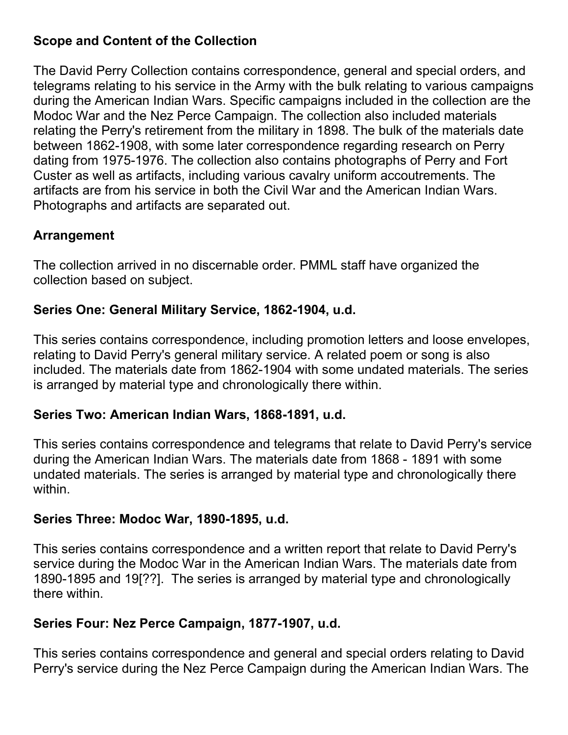#### **Scope and Content of the Collection**

The David Perry Collection contains correspondence, general and special orders, and telegrams relating to his service in the Army with the bulk relating to various campaigns during the American Indian Wars. Specific campaigns included in the collection are the Modoc War and the Nez Perce Campaign. The collection also included materials relating the Perry's retirement from the military in 1898. The bulk of the materials date between 1862-1908, with some later correspondence regarding research on Perry dating from 1975-1976. The collection also contains photographs of Perry and Fort Custer as well as artifacts, including various cavalry uniform accoutrements. The artifacts are from his service in both the Civil War and the American Indian Wars. Photographs and artifacts are separated out.

#### **Arrangement**

The collection arrived in no discernable order. PMML staff have organized the collection based on subject.

#### **Series One: General Military Service, 1862-1904, u.d.**

This series contains correspondence, including promotion letters and loose envelopes, relating to David Perry's general military service. A related poem or song is also included. The materials date from 1862-1904 with some undated materials. The series is arranged by material type and chronologically there within.

#### **Series Two: American Indian Wars, 1868-1891, u.d.**

This series contains correspondence and telegrams that relate to David Perry's service during the American Indian Wars. The materials date from 1868 - 1891 with some undated materials. The series is arranged by material type and chronologically there within.

#### **Series Three: Modoc War, 1890-1895, u.d.**

This series contains correspondence and a written report that relate to David Perry's service during the Modoc War in the American Indian Wars. The materials date from 1890-1895 and 19[??]. The series is arranged by material type and chronologically there within.

## **Series Four: Nez Perce Campaign, 1877-1907, u.d.**

This series contains correspondence and general and special orders relating to David Perry's service during the Nez Perce Campaign during the American Indian Wars. The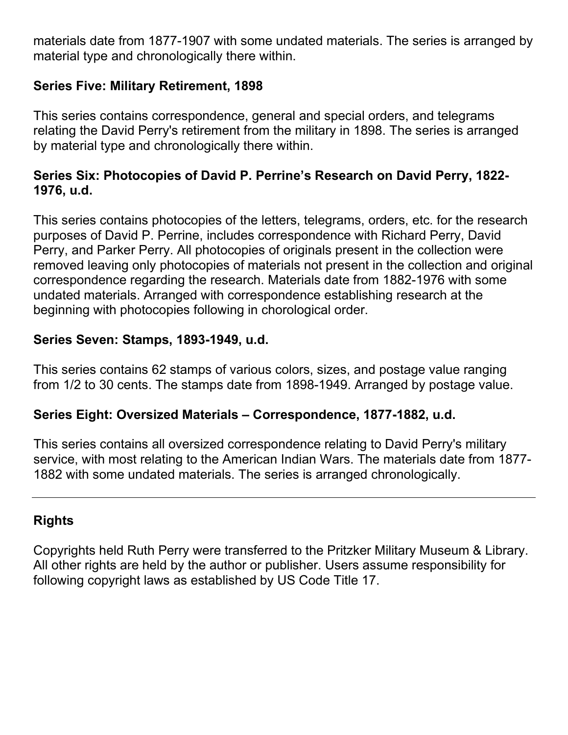materials date from 1877-1907 with some undated materials. The series is arranged by material type and chronologically there within.

#### **Series Five: Military Retirement, 1898**

This series contains correspondence, general and special orders, and telegrams relating the David Perry's retirement from the military in 1898. The series is arranged by material type and chronologically there within.

#### **Series Six: Photocopies of David P. Perrine's Research on David Perry, 1822- 1976, u.d.**

This series contains photocopies of the letters, telegrams, orders, etc. for the research purposes of David P. Perrine, includes correspondence with Richard Perry, David Perry, and Parker Perry. All photocopies of originals present in the collection were removed leaving only photocopies of materials not present in the collection and original correspondence regarding the research. Materials date from 1882-1976 with some undated materials. Arranged with correspondence establishing research at the beginning with photocopies following in chorological order.

#### **Series Seven: Stamps, 1893-1949, u.d.**

This series contains 62 stamps of various colors, sizes, and postage value ranging from 1/2 to 30 cents. The stamps date from 1898-1949. Arranged by postage value.

#### **Series Eight: Oversized Materials – Correspondence, 1877-1882, u.d.**

This series contains all oversized correspondence relating to David Perry's military service, with most relating to the American Indian Wars. The materials date from 1877- 1882 with some undated materials. The series is arranged chronologically.

## **Rights**

Copyrights held Ruth Perry were transferred to the Pritzker Military Museum & Library. All other rights are held by the author or publisher. Users assume responsibility for following copyright laws as established by US Code Title 17.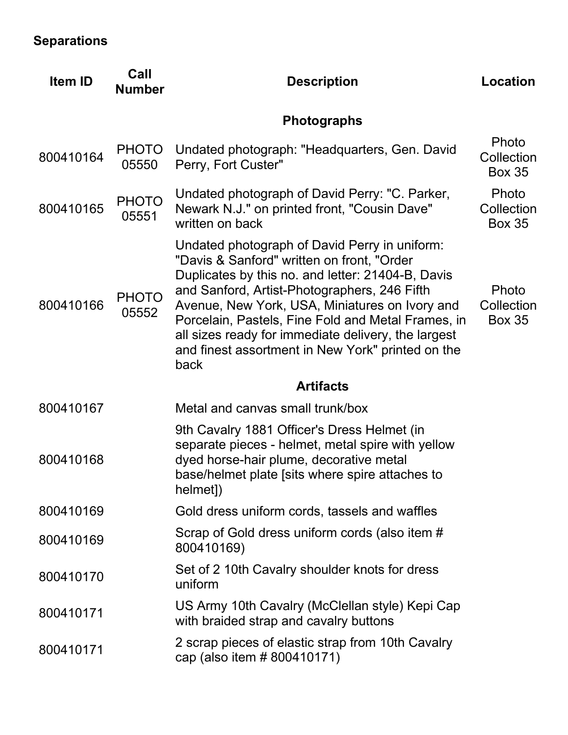# **Separations**

| Item ID   | Call<br><b>Number</b> | <b>Description</b>                                                                                                                                                                                                                                                                                                                                                                                                           | <b>Location</b>                      |
|-----------|-----------------------|------------------------------------------------------------------------------------------------------------------------------------------------------------------------------------------------------------------------------------------------------------------------------------------------------------------------------------------------------------------------------------------------------------------------------|--------------------------------------|
|           |                       | <b>Photographs</b>                                                                                                                                                                                                                                                                                                                                                                                                           |                                      |
| 800410164 | <b>PHOTO</b><br>05550 | Undated photograph: "Headquarters, Gen. David<br>Perry, Fort Custer"                                                                                                                                                                                                                                                                                                                                                         | Photo<br>Collection<br><b>Box 35</b> |
| 800410165 | <b>PHOTO</b><br>05551 | Undated photograph of David Perry: "C. Parker,<br>Newark N.J." on printed front, "Cousin Dave"<br>written on back                                                                                                                                                                                                                                                                                                            | Photo<br>Collection<br><b>Box 35</b> |
| 800410166 | <b>PHOTO</b><br>05552 | Undated photograph of David Perry in uniform:<br>"Davis & Sanford" written on front, "Order<br>Duplicates by this no. and letter: 21404-B, Davis<br>and Sanford, Artist-Photographers, 246 Fifth<br>Avenue, New York, USA, Miniatures on Ivory and<br>Porcelain, Pastels, Fine Fold and Metal Frames, in<br>all sizes ready for immediate delivery, the largest<br>and finest assortment in New York" printed on the<br>back | Photo<br>Collection<br><b>Box 35</b> |
|           |                       | <b>Artifacts</b>                                                                                                                                                                                                                                                                                                                                                                                                             |                                      |
| 800410167 |                       | Metal and canvas small trunk/box                                                                                                                                                                                                                                                                                                                                                                                             |                                      |
| 800410168 |                       | 9th Cavalry 1881 Officer's Dress Helmet (in<br>separate pieces - helmet, metal spire with yellow<br>dyed horse-hair plume, decorative metal<br>base/helmet plate [sits where spire attaches to<br>helmet])                                                                                                                                                                                                                   |                                      |
| 800410169 |                       | Gold dress uniform cords, tassels and waffles                                                                                                                                                                                                                                                                                                                                                                                |                                      |
| 800410169 |                       | Scrap of Gold dress uniform cords (also item #<br>800410169)                                                                                                                                                                                                                                                                                                                                                                 |                                      |
| 800410170 |                       | Set of 2 10th Cavalry shoulder knots for dress<br>uniform                                                                                                                                                                                                                                                                                                                                                                    |                                      |
| 800410171 |                       | US Army 10th Cavalry (McClellan style) Kepi Cap<br>with braided strap and cavalry buttons                                                                                                                                                                                                                                                                                                                                    |                                      |
| 800410171 |                       | 2 scrap pieces of elastic strap from 10th Cavalry<br>cap (also item # 800410171)                                                                                                                                                                                                                                                                                                                                             |                                      |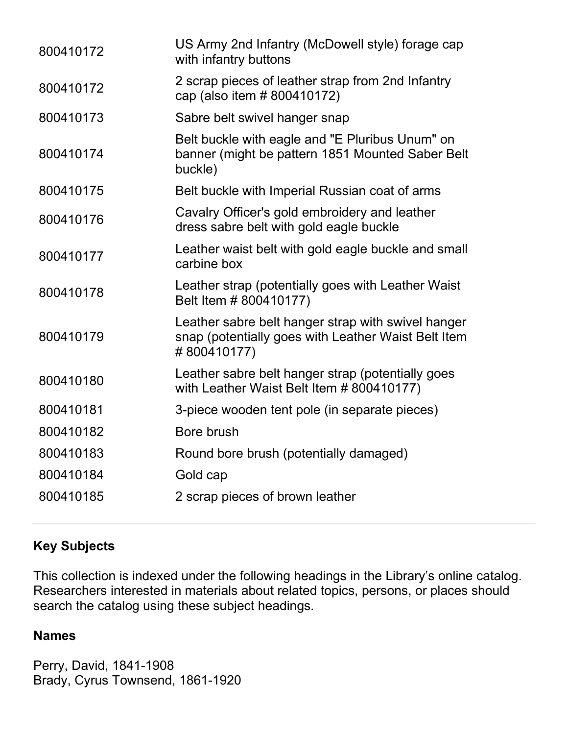| 800410172 | US Army 2nd Infantry (McDowell style) forage cap<br>with infantry buttons                                                |
|-----------|--------------------------------------------------------------------------------------------------------------------------|
| 800410172 | 2 scrap pieces of leather strap from 2nd Infantry<br>cap (also item # 800410172)                                         |
| 800410173 | Sabre belt swivel hanger snap                                                                                            |
| 800410174 | Belt buckle with eagle and "E Pluribus Unum" on<br>banner (might be pattern 1851 Mounted Saber Belt<br>buckle)           |
| 800410175 | Belt buckle with Imperial Russian coat of arms                                                                           |
| 800410176 | Cavalry Officer's gold embroidery and leather<br>dress sabre belt with gold eagle buckle                                 |
| 800410177 | Leather waist belt with gold eagle buckle and small<br>carbine box                                                       |
| 800410178 | Leather strap (potentially goes with Leather Waist<br>Belt Item # 800410177)                                             |
| 800410179 | Leather sabre belt hanger strap with swivel hanger<br>snap (potentially goes with Leather Waist Belt Item<br>#800410177) |
| 800410180 | Leather sabre belt hanger strap (potentially goes<br>with Leather Waist Belt Item # 800410177)                           |
| 800410181 | 3-piece wooden tent pole (in separate pieces)                                                                            |
| 800410182 | Bore brush                                                                                                               |
| 800410183 | Round bore brush (potentially damaged)                                                                                   |
| 800410184 | Gold cap                                                                                                                 |
| 800410185 | 2 scrap pieces of brown leather                                                                                          |

## **Key Subjects**

This collection is indexed under the following headings in the Library's online catalog. Researchers interested in materials about related topics, persons, or places should search the catalog using these subject headings.

#### **Names**

Perry, David, 1841-1908 Brady, Cyrus Townsend, 1861-1920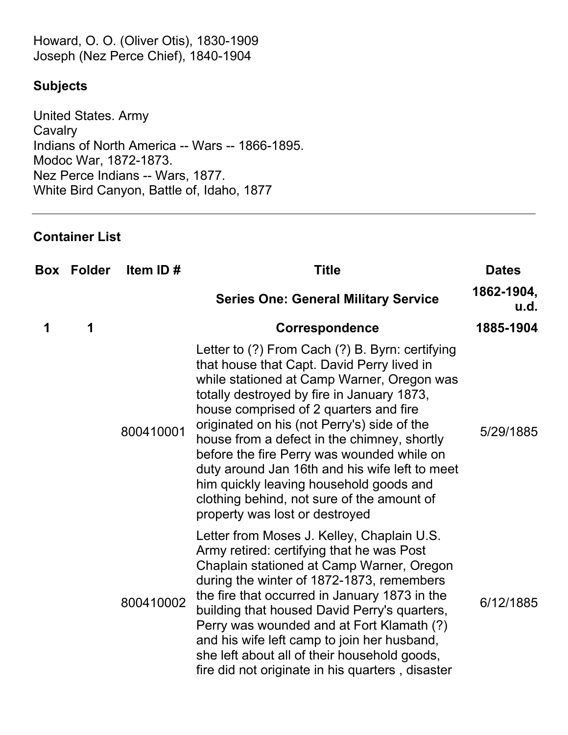Howard, O. O. (Oliver Otis), 1830-1909 Joseph (Nez Perce Chief), 1840-1904

#### **Subjects**

United States. Army **Cavalry** Indians of North America -- Wars -- 1866-1895. Modoc War, 1872-1873. Nez Perce Indians -- Wars, 1877. White Bird Canyon, Battle of, Idaho, 1877

#### **Container List**

|   | <b>Box Folder</b> | Item ID#  | <b>Title</b>                                                                                                                                                                                                                                                                                                                                                                                                                                                                                                                                                 | <b>Dates</b>       |
|---|-------------------|-----------|--------------------------------------------------------------------------------------------------------------------------------------------------------------------------------------------------------------------------------------------------------------------------------------------------------------------------------------------------------------------------------------------------------------------------------------------------------------------------------------------------------------------------------------------------------------|--------------------|
|   |                   |           | <b>Series One: General Military Service</b>                                                                                                                                                                                                                                                                                                                                                                                                                                                                                                                  | 1862-1904,<br>u.d. |
| 1 | 1                 |           | Correspondence                                                                                                                                                                                                                                                                                                                                                                                                                                                                                                                                               | 1885-1904          |
|   |                   | 800410001 | Letter to (?) From Cach (?) B. Byrn: certifying<br>that house that Capt. David Perry lived in<br>while stationed at Camp Warner, Oregon was<br>totally destroyed by fire in January 1873,<br>house comprised of 2 quarters and fire<br>originated on his (not Perry's) side of the<br>house from a defect in the chimney, shortly<br>before the fire Perry was wounded while on<br>duty around Jan 16th and his wife left to meet<br>him quickly leaving household goods and<br>clothing behind, not sure of the amount of<br>property was lost or destroyed | 5/29/1885          |
|   |                   | 800410002 | Letter from Moses J. Kelley, Chaplain U.S.<br>Army retired: certifying that he was Post<br>Chaplain stationed at Camp Warner, Oregon<br>during the winter of 1872-1873, remembers<br>the fire that occurred in January 1873 in the<br>building that housed David Perry's quarters,<br>Perry was wounded and at Fort Klamath (?)<br>and his wife left camp to join her husband,<br>she left about all of their household goods,<br>fire did not originate in his quarters, disaster                                                                           | 6/12/1885          |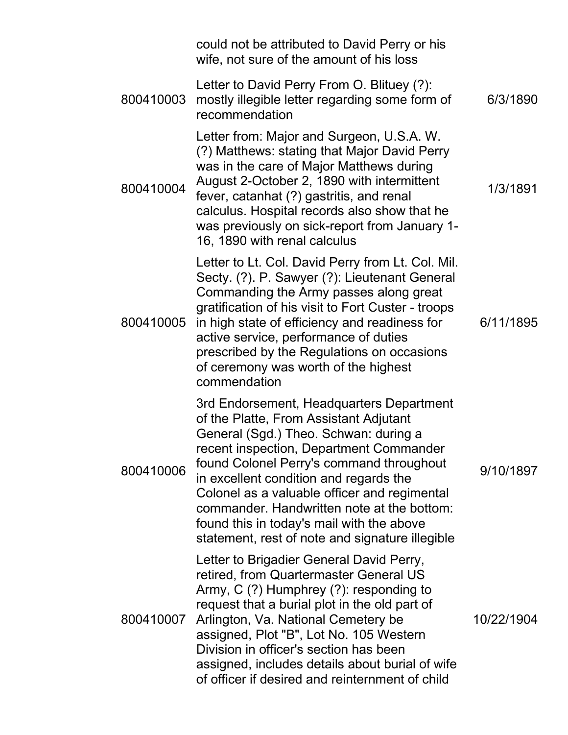|           | could not be attributed to David Perry or his<br>wife, not sure of the amount of his loss                                                                                                                                                                                                                                                                                                                                                                  |            |
|-----------|------------------------------------------------------------------------------------------------------------------------------------------------------------------------------------------------------------------------------------------------------------------------------------------------------------------------------------------------------------------------------------------------------------------------------------------------------------|------------|
| 800410003 | Letter to David Perry From O. Blituey (?):<br>mostly illegible letter regarding some form of<br>recommendation                                                                                                                                                                                                                                                                                                                                             | 6/3/1890   |
| 800410004 | Letter from: Major and Surgeon, U.S.A. W.<br>(?) Matthews: stating that Major David Perry<br>was in the care of Major Matthews during<br>August 2-October 2, 1890 with intermittent<br>fever, catanhat (?) gastritis, and renal<br>calculus. Hospital records also show that he<br>was previously on sick-report from January 1-<br>16, 1890 with renal calculus                                                                                           | 1/3/1891   |
| 800410005 | Letter to Lt. Col. David Perry from Lt. Col. Mil.<br>Secty. (?). P. Sawyer (?): Lieutenant General<br>Commanding the Army passes along great<br>gratification of his visit to Fort Custer - troops<br>in high state of efficiency and readiness for<br>active service, performance of duties<br>prescribed by the Regulations on occasions<br>of ceremony was worth of the highest<br>commendation                                                         | 6/11/1895  |
| 800410006 | 3rd Endorsement, Headquarters Department<br>of the Platte, From Assistant Adjutant<br>General (Sgd.) Theo. Schwan: during a<br>recent inspection, Department Commander<br>found Colonel Perry's command throughout<br>in excellent condition and regards the<br>Colonel as a valuable officer and regimental<br>commander. Handwritten note at the bottom:<br>found this in today's mail with the above<br>statement, rest of note and signature illegible | 9/10/1897  |
| 800410007 | Letter to Brigadier General David Perry,<br>retired, from Quartermaster General US<br>Army, C (?) Humphrey (?): responding to<br>request that a burial plot in the old part of<br>Arlington, Va. National Cemetery be<br>assigned, Plot "B", Lot No. 105 Western<br>Division in officer's section has been<br>assigned, includes details about burial of wife<br>of officer if desired and reinternment of child                                           | 10/22/1904 |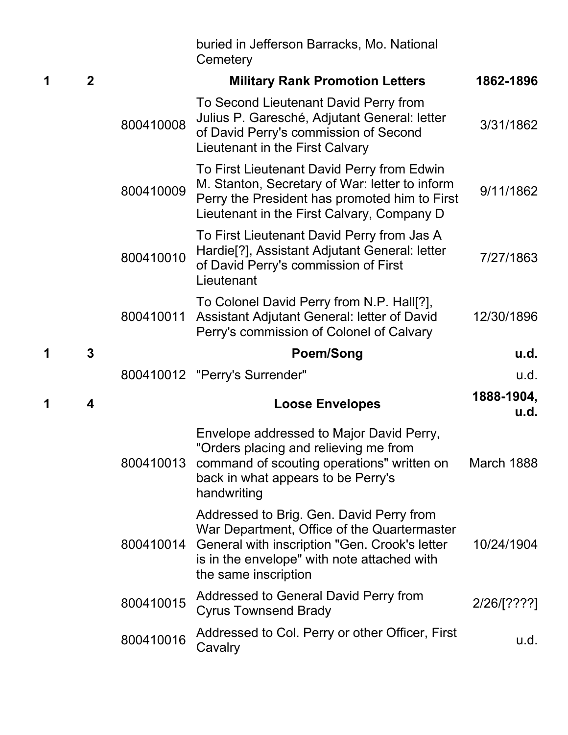|   |                |           | buried in Jefferson Barracks, Mo. National<br>Cemetery                                                                                                                                                          |                    |
|---|----------------|-----------|-----------------------------------------------------------------------------------------------------------------------------------------------------------------------------------------------------------------|--------------------|
| 1 | $\overline{2}$ |           | <b>Military Rank Promotion Letters</b>                                                                                                                                                                          | 1862-1896          |
|   |                | 800410008 | To Second Lieutenant David Perry from<br>Julius P. Garesché, Adjutant General: letter<br>of David Perry's commission of Second<br>Lieutenant in the First Calvary                                               | 3/31/1862          |
|   |                | 800410009 | To First Lieutenant David Perry from Edwin<br>M. Stanton, Secretary of War: letter to inform<br>Perry the President has promoted him to First<br>Lieutenant in the First Calvary, Company D                     | 9/11/1862          |
|   |                | 800410010 | To First Lieutenant David Perry from Jas A<br>Hardie <sup>[?]</sup> , Assistant Adjutant General: letter<br>of David Perry's commission of First<br>Lieutenant                                                  | 7/27/1863          |
|   |                | 800410011 | To Colonel David Perry from N.P. Hall[?],<br>Assistant Adjutant General: letter of David<br>Perry's commission of Colonel of Calvary                                                                            | 12/30/1896         |
|   |                |           |                                                                                                                                                                                                                 |                    |
| 1 | 3              |           | <b>Poem/Song</b>                                                                                                                                                                                                | u.d.               |
|   |                |           | 800410012 "Perry's Surrender"                                                                                                                                                                                   | u.d.               |
| 1 | 4              |           | <b>Loose Envelopes</b>                                                                                                                                                                                          | 1888-1904,<br>u.d. |
|   |                | 800410013 | Envelope addressed to Major David Perry,<br>"Orders placing and relieving me from<br>command of scouting operations" written on<br>back in what appears to be Perry's<br>handwriting                            | March 1888         |
|   |                | 800410014 | Addressed to Brig. Gen. David Perry from<br>War Department, Office of the Quartermaster<br>General with inscription "Gen. Crook's letter<br>is in the envelope" with note attached with<br>the same inscription | 10/24/1904         |
|   |                | 800410015 | Addressed to General David Perry from<br><b>Cyrus Townsend Brady</b>                                                                                                                                            | 2/26/[????]        |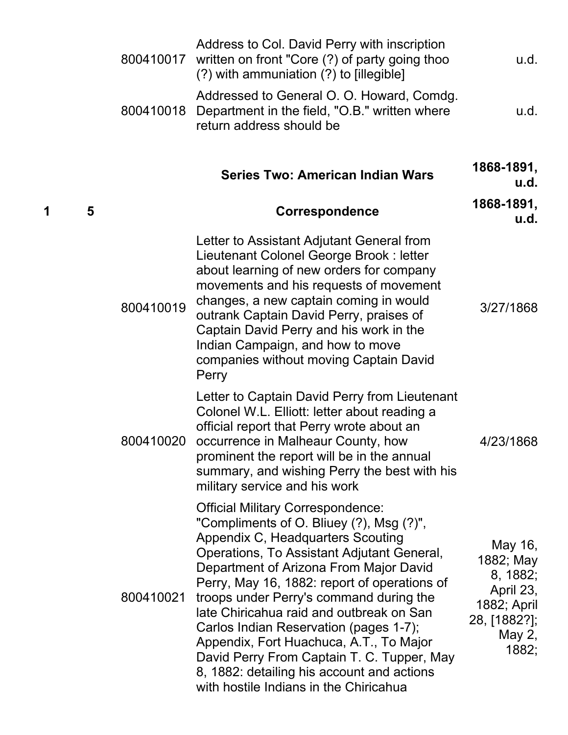|   |   | 800410017 | Address to Col. David Perry with inscription<br>written on front "Core (?) of party going thoo<br>(?) with ammuniation (?) to [illegible]                                                                                                                                                                                                                                                                                                                                                                                                                                           | u.d.                                                                                            |
|---|---|-----------|-------------------------------------------------------------------------------------------------------------------------------------------------------------------------------------------------------------------------------------------------------------------------------------------------------------------------------------------------------------------------------------------------------------------------------------------------------------------------------------------------------------------------------------------------------------------------------------|-------------------------------------------------------------------------------------------------|
|   |   | 800410018 | Addressed to General O. O. Howard, Comdg.<br>Department in the field, "O.B." written where<br>return address should be                                                                                                                                                                                                                                                                                                                                                                                                                                                              | u.d.                                                                                            |
|   |   |           | <b>Series Two: American Indian Wars</b>                                                                                                                                                                                                                                                                                                                                                                                                                                                                                                                                             | 1868-1891,<br>u.d.                                                                              |
| 1 | 5 |           | <b>Correspondence</b>                                                                                                                                                                                                                                                                                                                                                                                                                                                                                                                                                               | 1868-1891,<br>u.d.                                                                              |
|   |   | 800410019 | Letter to Assistant Adjutant General from<br>Lieutenant Colonel George Brook: letter<br>about learning of new orders for company<br>movements and his requests of movement<br>changes, a new captain coming in would<br>outrank Captain David Perry, praises of<br>Captain David Perry and his work in the<br>Indian Campaign, and how to move<br>companies without moving Captain David<br>Perry                                                                                                                                                                                   | 3/27/1868                                                                                       |
|   |   | 800410020 | Letter to Captain David Perry from Lieutenant<br>Colonel W.L. Elliott: letter about reading a<br>official report that Perry wrote about an<br>occurrence in Malheaur County, how<br>prominent the report will be in the annual<br>summary, and wishing Perry the best with his<br>military service and his work                                                                                                                                                                                                                                                                     | 4/23/1868                                                                                       |
|   |   | 800410021 | <b>Official Military Correspondence:</b><br>"Compliments of O. Bliuey (?), Msg (?)",<br>Appendix C, Headquarters Scouting<br>Operations, To Assistant Adjutant General,<br>Department of Arizona From Major David<br>Perry, May 16, 1882: report of operations of<br>troops under Perry's command during the<br>late Chiricahua raid and outbreak on San<br>Carlos Indian Reservation (pages 1-7);<br>Appendix, Fort Huachuca, A.T., To Major<br>David Perry From Captain T. C. Tupper, May<br>8, 1882: detailing his account and actions<br>with hostile Indians in the Chiricahua | May 16,<br>1882; May<br>8, 1882;<br>April 23,<br>1882; April<br>28, [1882?];<br>May 2,<br>1882; |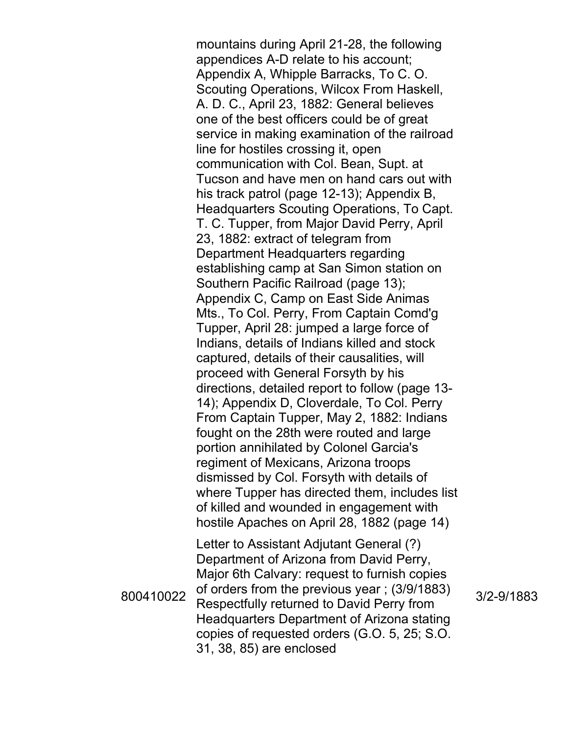mountains during April 21-28, the following appendices A-D relate to his account; Appendix A, Whipple Barracks, To C. O. Scouting Operations, Wilcox From Haskell, A. D. C., April 23, 1882: General believes one of the best officers could be of great service in making examination of the railroad line for hostiles crossing it, open communication with Col. Bean, Supt. at Tucson and have men on hand cars out with his track patrol (page 12-13); Appendix B, Headquarters Scouting Operations, To Capt. T. C. Tupper, from Major David Perry, April 23, 1882: extract of telegram from Department Headquarters regarding establishing camp at San Simon station on Southern Pacific Railroad (page 13); Appendix C, Camp on East Side Animas Mts., To Col. Perry, From Captain Comd'g Tupper, April 28: jumped a large force of Indians, details of Indians killed and stock captured, details of their causalities, will proceed with General Forsyth by his directions, detailed report to follow (page 13- 14); Appendix D, Cloverdale, To Col. Perry From Captain Tupper, May 2, 1882: Indians fought on the 28th were routed and large portion annihilated by Colonel Garcia's regiment of Mexicans, Arizona troops dismissed by Col. Forsyth with details of where Tupper has directed them, includes list of killed and wounded in engagement with hostile Apaches on April 28, 1882 (page 14) Letter to Assistant Adjutant General (?) Department of Arizona from David Perry, Major 6th Calvary: request to furnish copies of orders from the previous year ; (3/9/1883) Respectfully returned to David Perry from

Headquarters Department of Arizona stating copies of requested orders (G.O. 5, 25; S.O.

31, 38, 85) are enclosed

3/2-9/1883

800410022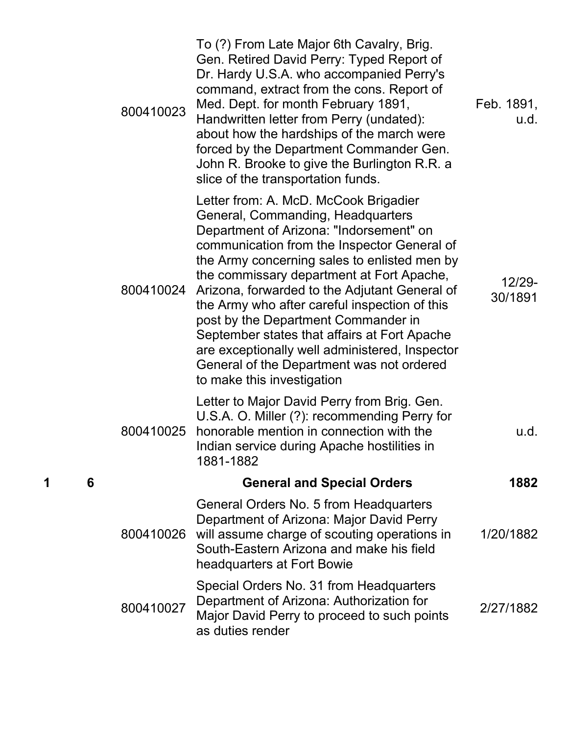| Feb. 1891,<br>u.d. | To (?) From Late Major 6th Cavalry, Brig.<br>Gen. Retired David Perry: Typed Report of<br>Dr. Hardy U.S.A. who accompanied Perry's<br>command, extract from the cons. Report of<br>Med. Dept. for month February 1891,<br>Handwritten letter from Perry (undated):<br>about how the hardships of the march were<br>forced by the Department Commander Gen.<br>John R. Brooke to give the Burlington R.R. a<br>slice of the transportation funds.                                                                                                                                        | 800410023 |   |   |
|--------------------|-----------------------------------------------------------------------------------------------------------------------------------------------------------------------------------------------------------------------------------------------------------------------------------------------------------------------------------------------------------------------------------------------------------------------------------------------------------------------------------------------------------------------------------------------------------------------------------------|-----------|---|---|
| 12/29-<br>30/1891  | Letter from: A. McD. McCook Brigadier<br>General, Commanding, Headquarters<br>Department of Arizona: "Indorsement" on<br>communication from the Inspector General of<br>the Army concerning sales to enlisted men by<br>the commissary department at Fort Apache,<br>Arizona, forwarded to the Adjutant General of<br>the Army who after careful inspection of this<br>post by the Department Commander in<br>September states that affairs at Fort Apache<br>are exceptionally well administered, Inspector<br>General of the Department was not ordered<br>to make this investigation | 800410024 |   |   |
| u.d.               | Letter to Major David Perry from Brig. Gen.<br>U.S.A. O. Miller (?): recommending Perry for<br>honorable mention in connection with the<br>Indian service during Apache hostilities in<br>1881-1882                                                                                                                                                                                                                                                                                                                                                                                     | 800410025 |   |   |
| 1882               | <b>General and Special Orders</b>                                                                                                                                                                                                                                                                                                                                                                                                                                                                                                                                                       |           | 6 | 1 |
| 1/20/1882          | General Orders No. 5 from Headquarters<br>Department of Arizona: Major David Perry<br>will assume charge of scouting operations in<br>South-Eastern Arizona and make his field<br>headquarters at Fort Bowie                                                                                                                                                                                                                                                                                                                                                                            | 800410026 |   |   |
| 2/27/1882          | Special Orders No. 31 from Headquarters<br>Department of Arizona: Authorization for<br>Major David Perry to proceed to such points<br>as duties render                                                                                                                                                                                                                                                                                                                                                                                                                                  | 800410027 |   |   |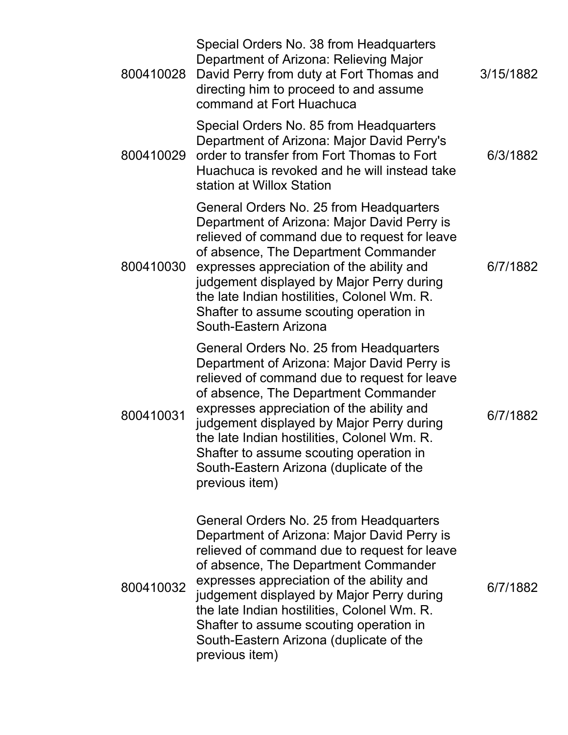| 800410028 | Special Orders No. 38 from Headquarters<br>Department of Arizona: Relieving Major<br>David Perry from duty at Fort Thomas and<br>directing him to proceed to and assume<br>command at Fort Huachuca                                                                                                                                                                                                                             | 3/15/1882 |
|-----------|---------------------------------------------------------------------------------------------------------------------------------------------------------------------------------------------------------------------------------------------------------------------------------------------------------------------------------------------------------------------------------------------------------------------------------|-----------|
| 800410029 | Special Orders No. 85 from Headquarters<br>Department of Arizona: Major David Perry's<br>order to transfer from Fort Thomas to Fort<br>Huachuca is revoked and he will instead take<br>station at Willox Station                                                                                                                                                                                                                | 6/3/1882  |
| 800410030 | General Orders No. 25 from Headquarters<br>Department of Arizona: Major David Perry is<br>relieved of command due to request for leave<br>of absence, The Department Commander<br>expresses appreciation of the ability and<br>judgement displayed by Major Perry during<br>the late Indian hostilities, Colonel Wm. R.<br>Shafter to assume scouting operation in<br>South-Eastern Arizona                                     | 6/7/1882  |
| 800410031 | General Orders No. 25 from Headquarters<br>Department of Arizona: Major David Perry is<br>relieved of command due to request for leave<br>of absence, The Department Commander<br>expresses appreciation of the ability and<br>judgement displayed by Major Perry during<br>the late Indian hostilities, Colonel Wm. R.<br>Shafter to assume scouting operation in<br>South-Eastern Arizona (duplicate of the<br>previous item) | 6/7/1882  |
| 800410032 | General Orders No. 25 from Headquarters<br>Department of Arizona: Major David Perry is<br>relieved of command due to request for leave<br>of absence, The Department Commander<br>expresses appreciation of the ability and<br>judgement displayed by Major Perry during<br>the late Indian hostilities, Colonel Wm. R.<br>Shafter to assume scouting operation in<br>South-Eastern Arizona (duplicate of the<br>previous item) | 6/7/1882  |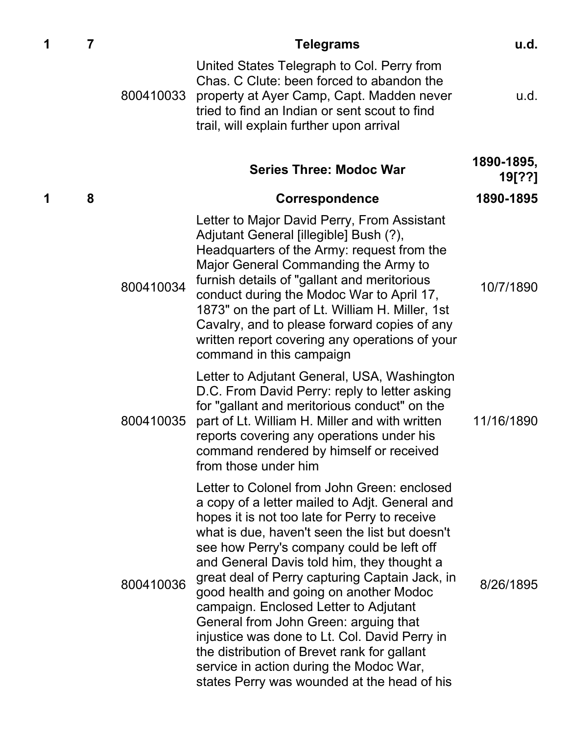| 1 | 7 |           | Telegrams                                                                                                                                                                                                                                                                                                                                                                                                                                                                                                                                                                                                                                                           | u.d.                 |
|---|---|-----------|---------------------------------------------------------------------------------------------------------------------------------------------------------------------------------------------------------------------------------------------------------------------------------------------------------------------------------------------------------------------------------------------------------------------------------------------------------------------------------------------------------------------------------------------------------------------------------------------------------------------------------------------------------------------|----------------------|
|   |   | 800410033 | United States Telegraph to Col. Perry from<br>Chas. C Clute: been forced to abandon the<br>property at Ayer Camp, Capt. Madden never<br>tried to find an Indian or sent scout to find<br>trail, will explain further upon arrival                                                                                                                                                                                                                                                                                                                                                                                                                                   | u.d.                 |
|   |   |           | <b>Series Three: Modoc War</b>                                                                                                                                                                                                                                                                                                                                                                                                                                                                                                                                                                                                                                      | 1890-1895,<br>19[??] |
| 1 | 8 |           | <b>Correspondence</b>                                                                                                                                                                                                                                                                                                                                                                                                                                                                                                                                                                                                                                               | 1890-1895            |
|   |   | 800410034 | Letter to Major David Perry, From Assistant<br>Adjutant General [illegible] Bush (?),<br>Headquarters of the Army: request from the<br>Major General Commanding the Army to<br>furnish details of "gallant and meritorious"<br>conduct during the Modoc War to April 17,<br>1873" on the part of Lt. William H. Miller, 1st<br>Cavalry, and to please forward copies of any<br>written report covering any operations of your<br>command in this campaign                                                                                                                                                                                                           | 10/7/1890            |
|   |   | 800410035 | Letter to Adjutant General, USA, Washington<br>D.C. From David Perry: reply to letter asking<br>for "gallant and meritorious conduct" on the<br>part of Lt. William H. Miller and with written<br>reports covering any operations under his<br>command rendered by himself or received<br>from those under him                                                                                                                                                                                                                                                                                                                                                      | 11/16/1890           |
|   |   | 800410036 | Letter to Colonel from John Green: enclosed<br>a copy of a letter mailed to Adjt. General and<br>hopes it is not too late for Perry to receive<br>what is due, haven't seen the list but doesn't<br>see how Perry's company could be left off<br>and General Davis told him, they thought a<br>great deal of Perry capturing Captain Jack, in<br>good health and going on another Modoc<br>campaign. Enclosed Letter to Adjutant<br>General from John Green: arguing that<br>injustice was done to Lt. Col. David Perry in<br>the distribution of Brevet rank for gallant<br>service in action during the Modoc War,<br>states Perry was wounded at the head of his | 8/26/1895            |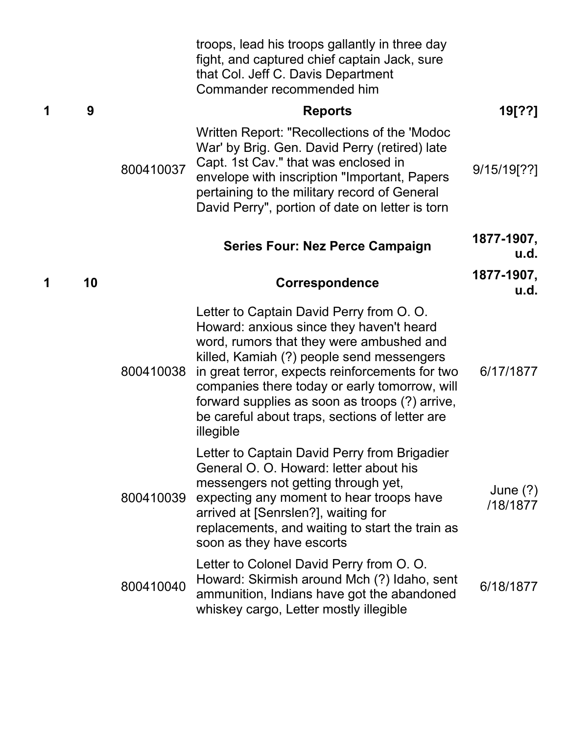|   |    |           | troops, lead his troops gallantly in three day<br>fight, and captured chief captain Jack, sure<br>that Col. Jeff C. Davis Department<br>Commander recommended him                                                                                                                                                                                                                                  |                        |
|---|----|-----------|----------------------------------------------------------------------------------------------------------------------------------------------------------------------------------------------------------------------------------------------------------------------------------------------------------------------------------------------------------------------------------------------------|------------------------|
| 1 | 9  |           | <b>Reports</b>                                                                                                                                                                                                                                                                                                                                                                                     | 19[??]                 |
|   |    | 800410037 | Written Report: "Recollections of the 'Modoc<br>War' by Brig. Gen. David Perry (retired) late<br>Capt. 1st Cav." that was enclosed in<br>envelope with inscription "Important, Papers<br>pertaining to the military record of General<br>David Perry", portion of date on letter is torn                                                                                                           | 9/15/19[??]            |
|   |    |           | <b>Series Four: Nez Perce Campaign</b>                                                                                                                                                                                                                                                                                                                                                             | 1877-1907,<br>u.d.     |
|   | 10 |           | Correspondence                                                                                                                                                                                                                                                                                                                                                                                     | 1877-1907,<br>u.d.     |
|   |    | 800410038 | Letter to Captain David Perry from O. O.<br>Howard: anxious since they haven't heard<br>word, rumors that they were ambushed and<br>killed, Kamiah (?) people send messengers<br>in great terror, expects reinforcements for two<br>companies there today or early tomorrow, will<br>forward supplies as soon as troops (?) arrive,<br>be careful about traps, sections of letter are<br>illegible | 6/17/1877              |
|   |    | 800410039 | Letter to Captain David Perry from Brigadier<br>General O. O. Howard: letter about his<br>messengers not getting through yet,<br>expecting any moment to hear troops have<br>arrived at [Senrslen?], waiting for<br>replacements, and waiting to start the train as<br>soon as they have escorts                                                                                                   | June $(?)$<br>/18/1877 |
|   |    | 800410040 | Letter to Colonel David Perry from O. O.<br>Howard: Skirmish around Mch (?) Idaho, sent<br>ammunition, Indians have got the abandoned<br>whiskey cargo, Letter mostly illegible                                                                                                                                                                                                                    | 6/18/1877              |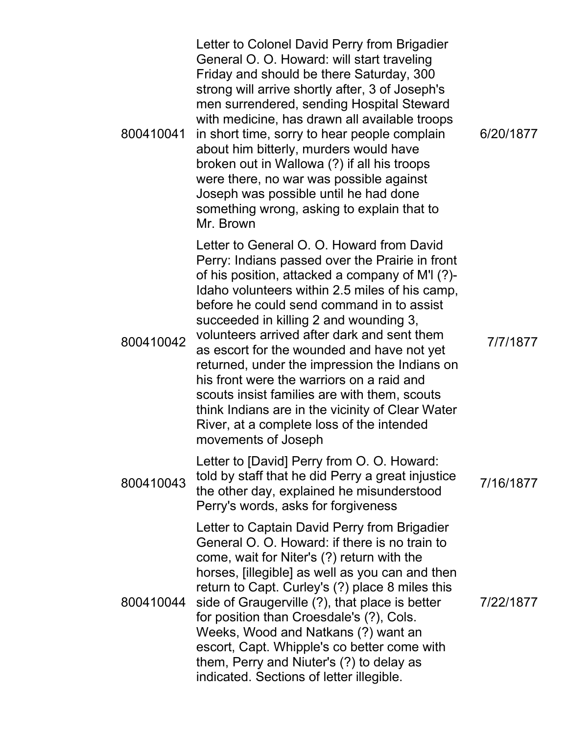| 800410041 | Letter to Colonel David Perry from Brigadier<br>General O. O. Howard: will start traveling<br>Friday and should be there Saturday, 300<br>strong will arrive shortly after, 3 of Joseph's<br>men surrendered, sending Hospital Steward<br>with medicine, has drawn all available troops<br>in short time, sorry to hear people complain<br>about him bitterly, murders would have<br>broken out in Wallowa (?) if all his troops<br>were there, no war was possible against<br>Joseph was possible until he had done<br>something wrong, asking to explain that to<br>Mr. Brown                                                                             | 6/20/1877 |
|-----------|-------------------------------------------------------------------------------------------------------------------------------------------------------------------------------------------------------------------------------------------------------------------------------------------------------------------------------------------------------------------------------------------------------------------------------------------------------------------------------------------------------------------------------------------------------------------------------------------------------------------------------------------------------------|-----------|
| 800410042 | Letter to General O. O. Howard from David<br>Perry: Indians passed over the Prairie in front<br>of his position, attacked a company of M'I (?)-<br>Idaho volunteers within 2.5 miles of his camp,<br>before he could send command in to assist<br>succeeded in killing 2 and wounding 3,<br>volunteers arrived after dark and sent them<br>as escort for the wounded and have not yet<br>returned, under the impression the Indians on<br>his front were the warriors on a raid and<br>scouts insist families are with them, scouts<br>think Indians are in the vicinity of Clear Water<br>River, at a complete loss of the intended<br>movements of Joseph | 7/7/1877  |
| 800410043 | Letter to [David] Perry from O. O. Howard:<br>told by staff that he did Perry a great injustice<br>the other day, explained he misunderstood<br>Perry's words, asks for forgiveness                                                                                                                                                                                                                                                                                                                                                                                                                                                                         | 7/16/1877 |
| 800410044 | Letter to Captain David Perry from Brigadier<br>General O. O. Howard: if there is no train to<br>come, wait for Niter's (?) return with the<br>horses, [illegible] as well as you can and then<br>return to Capt. Curley's (?) place 8 miles this<br>side of Graugerville (?), that place is better<br>for position than Croesdale's (?), Cols.<br>Weeks, Wood and Natkans (?) want an<br>escort, Capt. Whipple's co better come with<br>them, Perry and Niuter's (?) to delay as<br>indicated. Sections of letter illegible.                                                                                                                               | 7/22/1877 |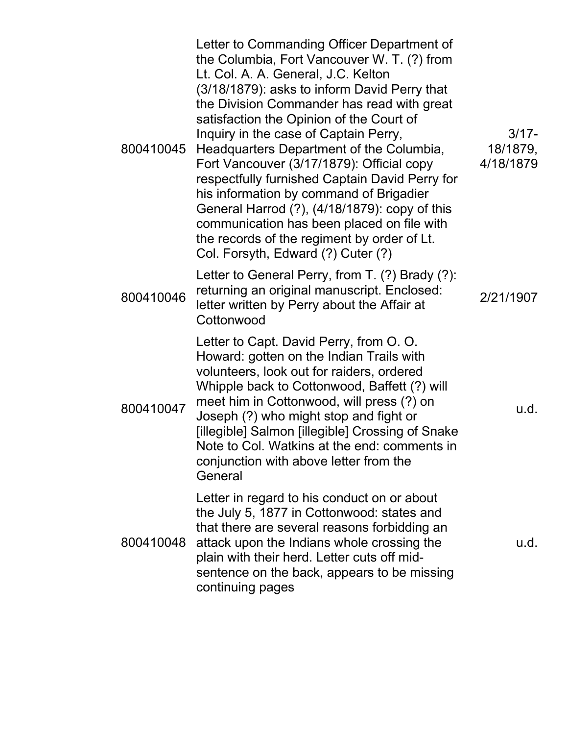| 800410045 | Letter to Commanding Officer Department of<br>the Columbia, Fort Vancouver W. T. (?) from<br>Lt. Col. A. A. General, J.C. Kelton<br>(3/18/1879): asks to inform David Perry that<br>the Division Commander has read with great<br>satisfaction the Opinion of the Court of<br>Inquiry in the case of Captain Perry,<br>Headquarters Department of the Columbia,<br>Fort Vancouver (3/17/1879): Official copy<br>respectfully furnished Captain David Perry for<br>his information by command of Brigadier<br>General Harrod (?), (4/18/1879): copy of this<br>communication has been placed on file with<br>the records of the regiment by order of Lt.<br>Col. Forsyth, Edward (?) Cuter (?) | $3/17 -$<br>18/1879,<br>4/18/1879 |
|-----------|-----------------------------------------------------------------------------------------------------------------------------------------------------------------------------------------------------------------------------------------------------------------------------------------------------------------------------------------------------------------------------------------------------------------------------------------------------------------------------------------------------------------------------------------------------------------------------------------------------------------------------------------------------------------------------------------------|-----------------------------------|
| 800410046 | Letter to General Perry, from T. (?) Brady (?):<br>returning an original manuscript. Enclosed:<br>letter written by Perry about the Affair at<br>Cottonwood                                                                                                                                                                                                                                                                                                                                                                                                                                                                                                                                   | 2/21/1907                         |
| 800410047 | Letter to Capt. David Perry, from O. O.<br>Howard: gotten on the Indian Trails with<br>volunteers, look out for raiders, ordered<br>Whipple back to Cottonwood, Baffett (?) will<br>meet him in Cottonwood, will press (?) on<br>Joseph (?) who might stop and fight or<br>[illegible] Salmon [illegible] Crossing of Snake<br>Note to Col. Watkins at the end: comments in<br>conjunction with above letter from the<br>General                                                                                                                                                                                                                                                              | u.d.                              |
| 800410048 | Letter in regard to his conduct on or about<br>the July 5, 1877 in Cottonwood: states and<br>that there are several reasons forbidding an<br>attack upon the Indians whole crossing the<br>plain with their herd. Letter cuts off mid-<br>sentence on the back, appears to be missing<br>continuing pages                                                                                                                                                                                                                                                                                                                                                                                     | u.d.                              |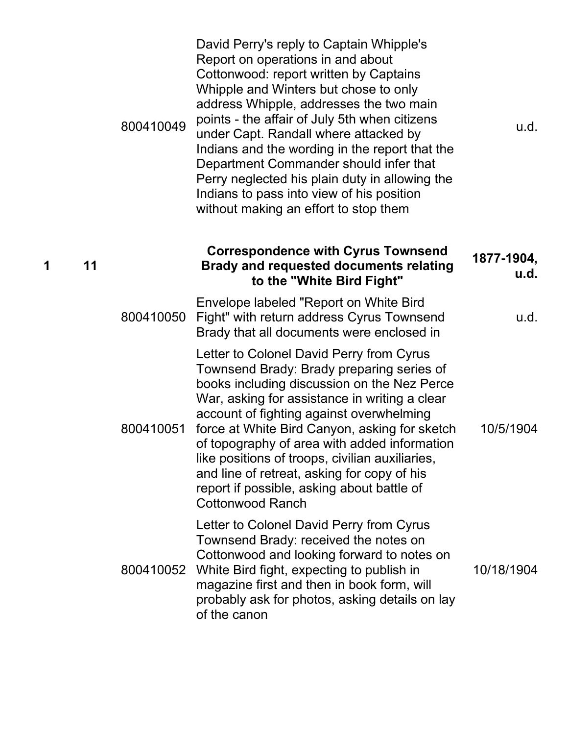|    | 800410049 | David Perry's reply to Captain Whipple's<br>Report on operations in and about<br>Cottonwood: report written by Captains<br>Whipple and Winters but chose to only<br>address Whipple, addresses the two main<br>points - the affair of July 5th when citizens<br>under Capt. Randall where attacked by<br>Indians and the wording in the report that the<br>Department Commander should infer that<br>Perry neglected his plain duty in allowing the<br>Indians to pass into view of his position<br>without making an effort to stop them | u.d.               |
|----|-----------|-------------------------------------------------------------------------------------------------------------------------------------------------------------------------------------------------------------------------------------------------------------------------------------------------------------------------------------------------------------------------------------------------------------------------------------------------------------------------------------------------------------------------------------------|--------------------|
| 11 |           | <b>Correspondence with Cyrus Townsend</b><br><b>Brady and requested documents relating</b><br>to the "White Bird Fight"                                                                                                                                                                                                                                                                                                                                                                                                                   | 1877-1904,<br>u.d. |
|    | 800410050 | Envelope labeled "Report on White Bird<br>Fight" with return address Cyrus Townsend<br>Brady that all documents were enclosed in                                                                                                                                                                                                                                                                                                                                                                                                          | u.d.               |
|    | 800410051 | Letter to Colonel David Perry from Cyrus<br>Townsend Brady: Brady preparing series of<br>books including discussion on the Nez Perce<br>War, asking for assistance in writing a clear<br>account of fighting against overwhelming<br>force at White Bird Canyon, asking for sketch<br>of topography of area with added information<br>like positions of troops, civilian auxiliaries,<br>and line of retreat, asking for copy of his<br>report if possible, asking about battle of<br><b>Cottonwood Ranch</b>                             | 10/5/1904          |
|    | 800410052 | Letter to Colonel David Perry from Cyrus<br>Townsend Brady: received the notes on<br>Cottonwood and looking forward to notes on<br>White Bird fight, expecting to publish in<br>magazine first and then in book form, will<br>probably ask for photos, asking details on lay<br>of the canon                                                                                                                                                                                                                                              | 10/18/1904         |

**1 11**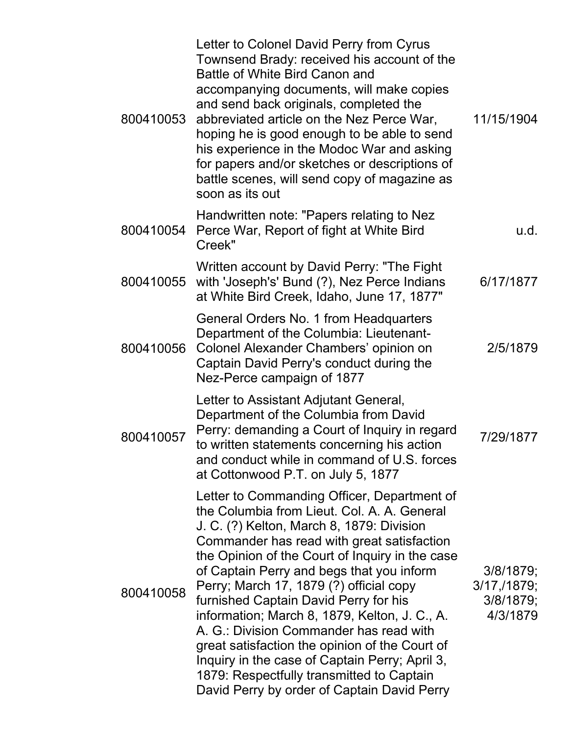| 800410053 | Letter to Colonel David Perry from Cyrus<br>Townsend Brady: received his account of the<br>Battle of White Bird Canon and<br>accompanying documents, will make copies<br>and send back originals, completed the<br>abbreviated article on the Nez Perce War,<br>hoping he is good enough to be able to send<br>his experience in the Modoc War and asking<br>for papers and/or sketches or descriptions of<br>battle scenes, will send copy of magazine as<br>soon as its out                                                                                                                                                                                         | 11/15/1904                                           |
|-----------|-----------------------------------------------------------------------------------------------------------------------------------------------------------------------------------------------------------------------------------------------------------------------------------------------------------------------------------------------------------------------------------------------------------------------------------------------------------------------------------------------------------------------------------------------------------------------------------------------------------------------------------------------------------------------|------------------------------------------------------|
| 800410054 | Handwritten note: "Papers relating to Nez<br>Perce War, Report of fight at White Bird<br>Creek"                                                                                                                                                                                                                                                                                                                                                                                                                                                                                                                                                                       | u.d.                                                 |
| 800410055 | Written account by David Perry: "The Fight<br>with 'Joseph's' Bund (?), Nez Perce Indians<br>at White Bird Creek, Idaho, June 17, 1877"                                                                                                                                                                                                                                                                                                                                                                                                                                                                                                                               | 6/17/1877                                            |
| 800410056 | General Orders No. 1 from Headquarters<br>Department of the Columbia: Lieutenant-<br>Colonel Alexander Chambers' opinion on<br>Captain David Perry's conduct during the<br>Nez-Perce campaign of 1877                                                                                                                                                                                                                                                                                                                                                                                                                                                                 | 2/5/1879                                             |
| 800410057 | Letter to Assistant Adjutant General,<br>Department of the Columbia from David<br>Perry: demanding a Court of Inquiry in regard<br>to written statements concerning his action<br>and conduct while in command of U.S. forces<br>at Cottonwood P.T. on July 5, 1877                                                                                                                                                                                                                                                                                                                                                                                                   | 7/29/1877                                            |
| 800410058 | Letter to Commanding Officer, Department of<br>the Columbia from Lieut. Col. A. A. General<br>J. C. (?) Kelton, March 8, 1879: Division<br>Commander has read with great satisfaction<br>the Opinion of the Court of Inquiry in the case<br>of Captain Perry and begs that you inform<br>Perry; March 17, 1879 (?) official copy<br>furnished Captain David Perry for his<br>information; March 8, 1879, Kelton, J. C., A.<br>A. G.: Division Commander has read with<br>great satisfaction the opinion of the Court of<br>Inquiry in the case of Captain Perry; April 3,<br>1879: Respectfully transmitted to Captain<br>David Perry by order of Captain David Perry | 3/8/1879;<br>3/17, 1879;<br>$3/8/1879$ ;<br>4/3/1879 |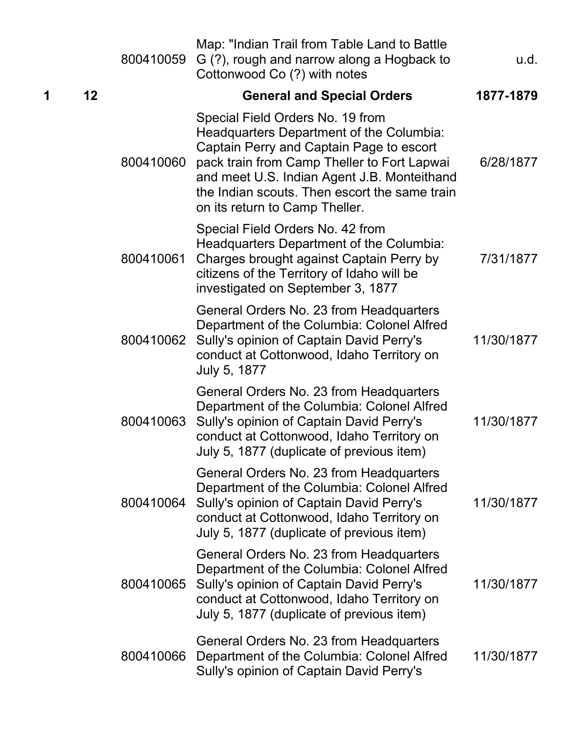|   |    | 800410059 | Map: "Indian Trail from Table Land to Battle<br>G (?), rough and narrow along a Hogback to<br>Cottonwood Co (?) with notes                                                                                                                                                                                | u.d.       |
|---|----|-----------|-----------------------------------------------------------------------------------------------------------------------------------------------------------------------------------------------------------------------------------------------------------------------------------------------------------|------------|
| 1 | 12 |           | <b>General and Special Orders</b>                                                                                                                                                                                                                                                                         | 1877-1879  |
|   |    | 800410060 | Special Field Orders No. 19 from<br>Headquarters Department of the Columbia:<br>Captain Perry and Captain Page to escort<br>pack train from Camp Theller to Fort Lapwai<br>and meet U.S. Indian Agent J.B. Monteithand<br>the Indian scouts. Then escort the same train<br>on its return to Camp Theller. | 6/28/1877  |
|   |    | 800410061 | Special Field Orders No. 42 from<br>Headquarters Department of the Columbia:<br>Charges brought against Captain Perry by<br>citizens of the Territory of Idaho will be<br>investigated on September 3, 1877                                                                                               | 7/31/1877  |
|   |    | 800410062 | General Orders No. 23 from Headquarters<br>Department of the Columbia: Colonel Alfred<br>Sully's opinion of Captain David Perry's<br>conduct at Cottonwood, Idaho Territory on<br>July 5, 1877                                                                                                            | 11/30/1877 |
|   |    | 800410063 | General Orders No. 23 from Headquarters<br>Department of the Columbia: Colonel Alfred<br>Sully's opinion of Captain David Perry's<br>conduct at Cottonwood, Idaho Territory on<br>July 5, 1877 (duplicate of previous item)                                                                               | 11/30/1877 |
|   |    | 800410064 | General Orders No. 23 from Headquarters<br>Department of the Columbia: Colonel Alfred<br>Sully's opinion of Captain David Perry's<br>conduct at Cottonwood, Idaho Territory on<br>July 5, 1877 (duplicate of previous item)                                                                               | 11/30/1877 |
|   |    | 800410065 | General Orders No. 23 from Headquarters<br>Department of the Columbia: Colonel Alfred<br>Sully's opinion of Captain David Perry's<br>conduct at Cottonwood, Idaho Territory on<br>July 5, 1877 (duplicate of previous item)                                                                               | 11/30/1877 |
|   |    | 800410066 | General Orders No. 23 from Headquarters<br>Department of the Columbia: Colonel Alfred<br>Sully's opinion of Captain David Perry's                                                                                                                                                                         | 11/30/1877 |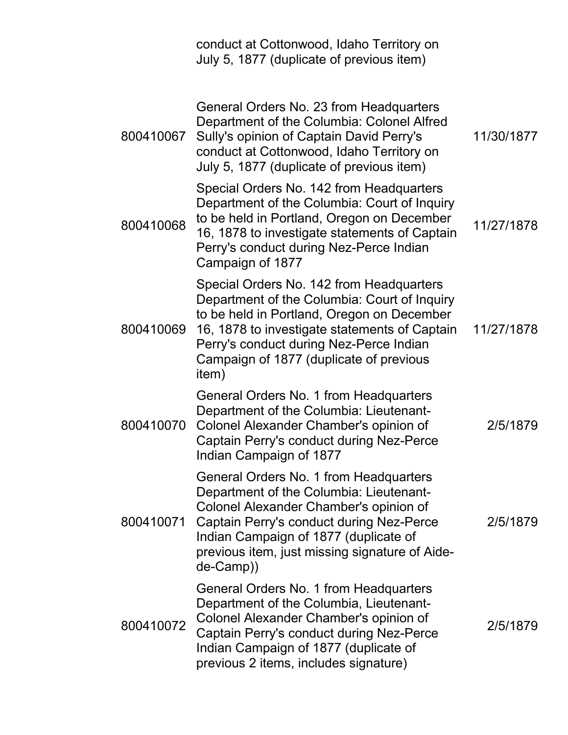|           | conduct at Cottonwood, Idaho Territory on<br>July 5, 1877 (duplicate of previous item)                                                                                                                                                                                                 |            |
|-----------|----------------------------------------------------------------------------------------------------------------------------------------------------------------------------------------------------------------------------------------------------------------------------------------|------------|
| 800410067 | General Orders No. 23 from Headquarters<br>Department of the Columbia: Colonel Alfred<br>Sully's opinion of Captain David Perry's<br>conduct at Cottonwood, Idaho Territory on<br>July 5, 1877 (duplicate of previous item)                                                            | 11/30/1877 |
| 800410068 | Special Orders No. 142 from Headquarters<br>Department of the Columbia: Court of Inquiry<br>to be held in Portland, Oregon on December<br>16, 1878 to investigate statements of Captain<br>Perry's conduct during Nez-Perce Indian<br>Campaign of 1877                                 | 11/27/1878 |
| 800410069 | Special Orders No. 142 from Headquarters<br>Department of the Columbia: Court of Inquiry<br>to be held in Portland, Oregon on December<br>16, 1878 to investigate statements of Captain<br>Perry's conduct during Nez-Perce Indian<br>Campaign of 1877 (duplicate of previous<br>item) | 11/27/1878 |
| 800410070 | General Orders No. 1 from Headquarters<br>Department of the Columbia: Lieutenant-<br>Colonel Alexander Chamber's opinion of<br>Captain Perry's conduct during Nez-Perce<br>Indian Campaign of 1877                                                                                     | 2/5/1879   |
| 800410071 | General Orders No. 1 from Headquarters<br>Department of the Columbia: Lieutenant-<br>Colonel Alexander Chamber's opinion of<br>Captain Perry's conduct during Nez-Perce<br>Indian Campaign of 1877 (duplicate of<br>previous item, just missing signature of Aide-<br>de-Camp))        | 2/5/1879   |
| 800410072 | General Orders No. 1 from Headquarters<br>Department of the Columbia, Lieutenant-<br>Colonel Alexander Chamber's opinion of<br>Captain Perry's conduct during Nez-Perce<br>Indian Campaign of 1877 (duplicate of<br>previous 2 items, includes signature)                              | 2/5/1879   |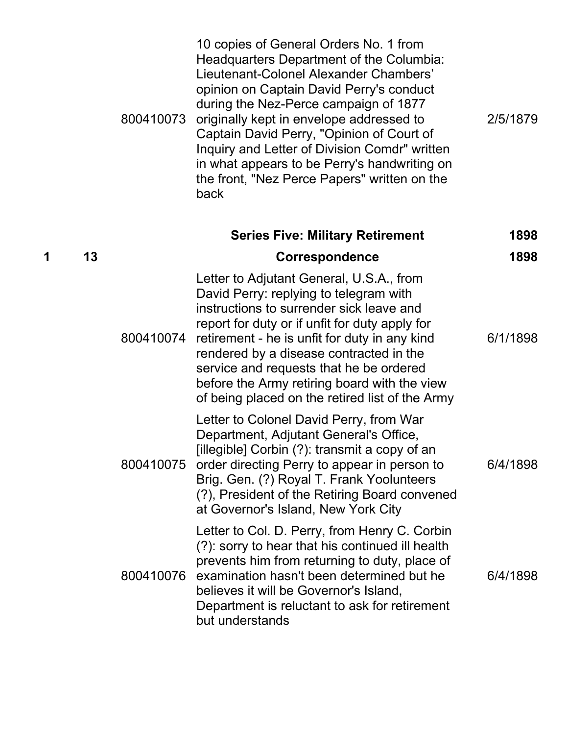|   |    | 800410073 | 10 copies of General Orders No. 1 from<br>Headquarters Department of the Columbia:<br>Lieutenant-Colonel Alexander Chambers'<br>opinion on Captain David Perry's conduct<br>during the Nez-Perce campaign of 1877<br>originally kept in envelope addressed to<br>Captain David Perry, "Opinion of Court of<br>Inquiry and Letter of Division Comdr" written<br>in what appears to be Perry's handwriting on<br>the front, "Nez Perce Papers" written on the<br>back | 2/5/1879 |
|---|----|-----------|---------------------------------------------------------------------------------------------------------------------------------------------------------------------------------------------------------------------------------------------------------------------------------------------------------------------------------------------------------------------------------------------------------------------------------------------------------------------|----------|
|   |    |           | <b>Series Five: Military Retirement</b>                                                                                                                                                                                                                                                                                                                                                                                                                             | 1898     |
| 1 | 13 |           | <b>Correspondence</b>                                                                                                                                                                                                                                                                                                                                                                                                                                               | 1898     |
|   |    | 800410074 | Letter to Adjutant General, U.S.A., from<br>David Perry: replying to telegram with<br>instructions to surrender sick leave and<br>report for duty or if unfit for duty apply for<br>retirement - he is unfit for duty in any kind<br>rendered by a disease contracted in the<br>service and requests that he be ordered<br>before the Army retiring board with the view<br>of being placed on the retired list of the Army                                          | 6/1/1898 |
|   |    | 800410075 | Letter to Colonel David Perry, from War<br>Department, Adjutant General's Office,<br>[illegible] Corbin (?): transmit a copy of an<br>order directing Perry to appear in person to<br>Brig. Gen. (?) Royal T. Frank Yoolunteers<br>(?), President of the Retiring Board convened<br>at Governor's Island, New York City                                                                                                                                             | 6/4/1898 |
|   |    | 800410076 | Letter to Col. D. Perry, from Henry C. Corbin<br>(?): sorry to hear that his continued ill health<br>prevents him from returning to duty, place of<br>examination hasn't been determined but he<br>believes it will be Governor's Island,<br>Department is reluctant to ask for retirement<br>but understands                                                                                                                                                       | 6/4/1898 |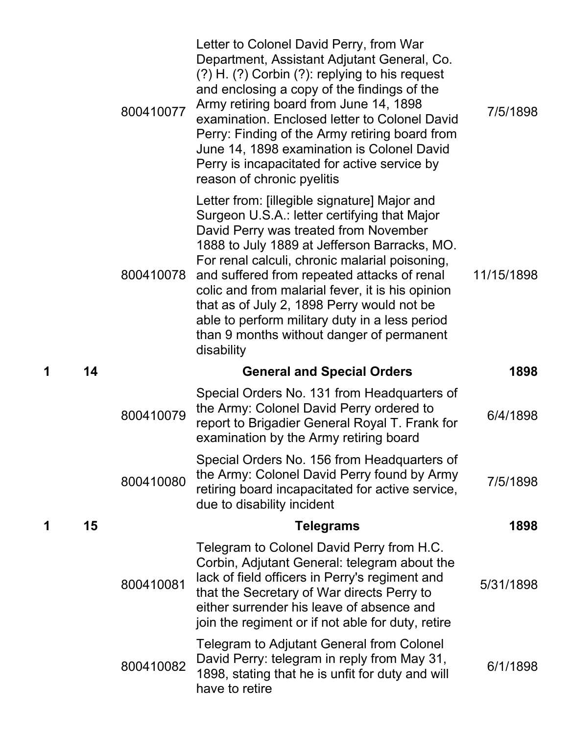|   |    | 800410077 | Letter to Colonel David Perry, from War<br>Department, Assistant Adjutant General, Co.<br>$(?) H. (?)$ Corbin $(?)$ : replying to his request<br>and enclosing a copy of the findings of the<br>Army retiring board from June 14, 1898<br>examination. Enclosed letter to Colonel David<br>Perry: Finding of the Army retiring board from<br>June 14, 1898 examination is Colonel David<br>Perry is incapacitated for active service by<br>reason of chronic pyelitis                                 | 7/5/1898   |
|---|----|-----------|-------------------------------------------------------------------------------------------------------------------------------------------------------------------------------------------------------------------------------------------------------------------------------------------------------------------------------------------------------------------------------------------------------------------------------------------------------------------------------------------------------|------------|
|   |    | 800410078 | Letter from: [illegible signature] Major and<br>Surgeon U.S.A.: letter certifying that Major<br>David Perry was treated from November<br>1888 to July 1889 at Jefferson Barracks, MO.<br>For renal calculi, chronic malarial poisoning,<br>and suffered from repeated attacks of renal<br>colic and from malarial fever, it is his opinion<br>that as of July 2, 1898 Perry would not be<br>able to perform military duty in a less period<br>than 9 months without danger of permanent<br>disability | 11/15/1898 |
| 1 | 14 |           | <b>General and Special Orders</b>                                                                                                                                                                                                                                                                                                                                                                                                                                                                     | 1898       |
|   |    |           |                                                                                                                                                                                                                                                                                                                                                                                                                                                                                                       |            |
|   |    | 800410079 | Special Orders No. 131 from Headquarters of<br>the Army: Colonel David Perry ordered to<br>report to Brigadier General Royal T. Frank for<br>examination by the Army retiring board                                                                                                                                                                                                                                                                                                                   | 6/4/1898   |
|   |    | 800410080 | Special Orders No. 156 from Headquarters of<br>the Army: Colonel David Perry found by Army<br>retiring board incapacitated for active service,<br>due to disability incident                                                                                                                                                                                                                                                                                                                          | 7/5/1898   |
| 1 | 15 |           | <b>Telegrams</b>                                                                                                                                                                                                                                                                                                                                                                                                                                                                                      | 1898       |
|   |    | 800410081 | Telegram to Colonel David Perry from H.C.<br>Corbin, Adjutant General: telegram about the<br>lack of field officers in Perry's regiment and<br>that the Secretary of War directs Perry to<br>either surrender his leave of absence and<br>join the regiment or if not able for duty, retire                                                                                                                                                                                                           | 5/31/1898  |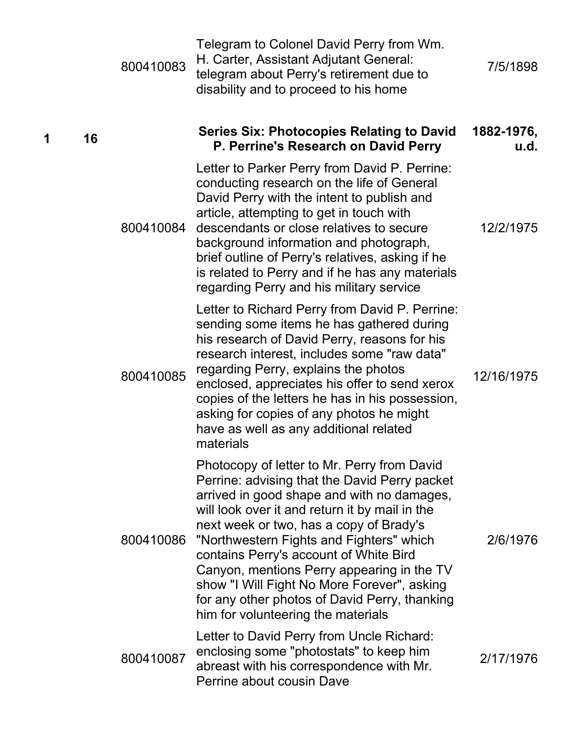|   |    | 800410083 | Telegram to Colonel David Perry from Wm.<br>H. Carter, Assistant Adjutant General:<br>telegram about Perry's retirement due to<br>disability and to proceed to his home                                                                                                                                                                                                                                                                                                                                           | 7/5/1898           |
|---|----|-----------|-------------------------------------------------------------------------------------------------------------------------------------------------------------------------------------------------------------------------------------------------------------------------------------------------------------------------------------------------------------------------------------------------------------------------------------------------------------------------------------------------------------------|--------------------|
| 1 | 16 |           | <b>Series Six: Photocopies Relating to David</b><br>P. Perrine's Research on David Perry                                                                                                                                                                                                                                                                                                                                                                                                                          | 1882-1976,<br>u.d. |
|   |    | 800410084 | Letter to Parker Perry from David P. Perrine:<br>conducting research on the life of General<br>David Perry with the intent to publish and<br>article, attempting to get in touch with<br>descendants or close relatives to secure<br>background information and photograph,<br>brief outline of Perry's relatives, asking if he<br>is related to Perry and if he has any materials<br>regarding Perry and his military service                                                                                    | 12/2/1975          |
|   |    | 800410085 | Letter to Richard Perry from David P. Perrine:<br>sending some items he has gathered during<br>his research of David Perry, reasons for his<br>research interest, includes some "raw data"<br>regarding Perry, explains the photos<br>enclosed, appreciates his offer to send xerox<br>copies of the letters he has in his possession,<br>asking for copies of any photos he might<br>have as well as any additional related<br>materials                                                                         | 12/16/1975         |
|   |    | 800410086 | Photocopy of letter to Mr. Perry from David<br>Perrine: advising that the David Perry packet<br>arrived in good shape and with no damages,<br>will look over it and return it by mail in the<br>next week or two, has a copy of Brady's<br>"Northwestern Fights and Fighters" which<br>contains Perry's account of White Bird<br>Canyon, mentions Perry appearing in the TV<br>show "I Will Fight No More Forever", asking<br>for any other photos of David Perry, thanking<br>him for volunteering the materials | 2/6/1976           |
|   |    | 800410087 | Letter to David Perry from Uncle Richard:<br>enclosing some "photostats" to keep him<br>abreast with his correspondence with Mr.<br>Perrine about cousin Dave                                                                                                                                                                                                                                                                                                                                                     | 2/17/1976          |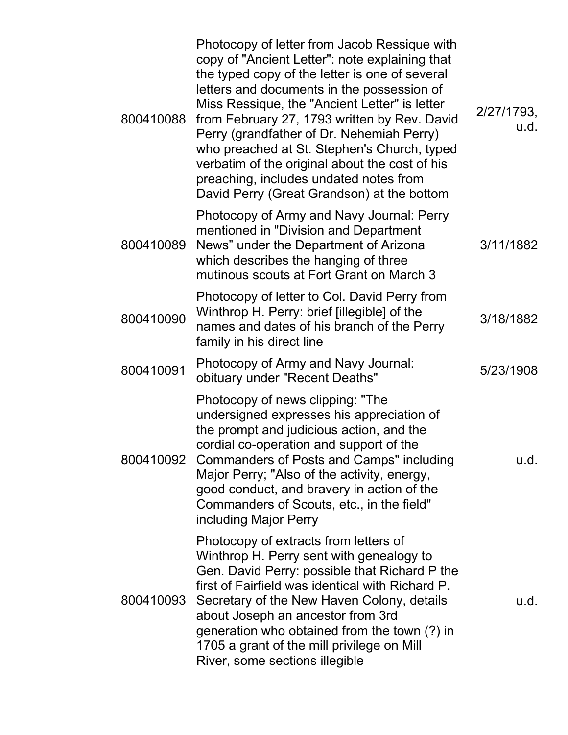| 800410088 | Photocopy of letter from Jacob Ressique with<br>copy of "Ancient Letter": note explaining that<br>the typed copy of the letter is one of several<br>letters and documents in the possession of<br>Miss Ressique, the "Ancient Letter" is letter<br>from February 27, 1793 written by Rev. David<br>Perry (grandfather of Dr. Nehemiah Perry)<br>who preached at St. Stephen's Church, typed<br>verbatim of the original about the cost of his<br>preaching, includes undated notes from<br>David Perry (Great Grandson) at the bottom | 2/27/1793,<br>u.d. |
|-----------|---------------------------------------------------------------------------------------------------------------------------------------------------------------------------------------------------------------------------------------------------------------------------------------------------------------------------------------------------------------------------------------------------------------------------------------------------------------------------------------------------------------------------------------|--------------------|
| 800410089 | Photocopy of Army and Navy Journal: Perry<br>mentioned in "Division and Department<br>News" under the Department of Arizona<br>which describes the hanging of three<br>mutinous scouts at Fort Grant on March 3                                                                                                                                                                                                                                                                                                                       | 3/11/1882          |
| 800410090 | Photocopy of letter to Col. David Perry from<br>Winthrop H. Perry: brief [illegible] of the<br>names and dates of his branch of the Perry<br>family in his direct line                                                                                                                                                                                                                                                                                                                                                                | 3/18/1882          |
| 800410091 | Photocopy of Army and Navy Journal:<br>obituary under "Recent Deaths"                                                                                                                                                                                                                                                                                                                                                                                                                                                                 | 5/23/1908          |
| 800410092 | Photocopy of news clipping: "The<br>undersigned expresses his appreciation of<br>the prompt and judicious action, and the<br>cordial co-operation and support of the<br><b>Commanders of Posts and Camps" including</b><br>Major Perry; "Also of the activity, energy,<br>good conduct, and bravery in action of the<br>Commanders of Scouts, etc., in the field"<br>including Major Perry                                                                                                                                            | u.d.               |
| 800410093 | Photocopy of extracts from letters of<br>Winthrop H. Perry sent with genealogy to<br>Gen. David Perry: possible that Richard P the<br>first of Fairfield was identical with Richard P.<br>Secretary of the New Haven Colony, details<br>about Joseph an ancestor from 3rd<br>generation who obtained from the town (?) in<br>1705 a grant of the mill privilege on Mill<br>River, some sections illegible                                                                                                                             | u.d.               |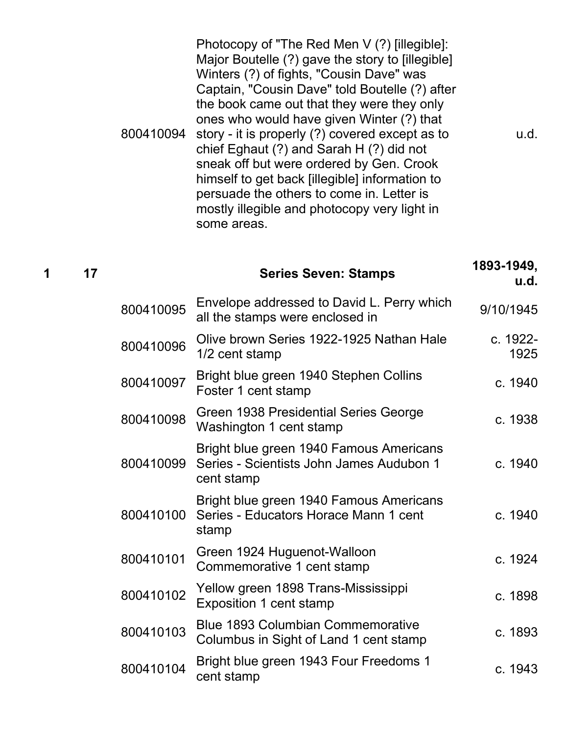|           | Photocopy of "The Red Men V (?) [illegible]:<br>Major Boutelle (?) gave the story to [illegible]<br>Winters (?) of fights, "Cousin Dave" was<br>Captain, "Cousin Dave" told Boutelle (?) after                                                                                                                                                                                    |
|-----------|-----------------------------------------------------------------------------------------------------------------------------------------------------------------------------------------------------------------------------------------------------------------------------------------------------------------------------------------------------------------------------------|
| 800410094 | the book came out that they were they only<br>ones who would have given Winter (?) that<br>story - it is properly (?) covered except as to<br>chief Eghaut (?) and Sarah H (?) did not<br>sneak off but were ordered by Gen. Crook<br>himself to get back [illegible] information to<br>persuade the others to come in. Letter is<br>mostly illegible and photocopy very light in |
|           | some areas.                                                                                                                                                                                                                                                                                                                                                                       |

| 1 | 17 |           | <b>Series Seven: Stamps</b>                                                                       | 1893-1949,<br><u>u.d.</u> |
|---|----|-----------|---------------------------------------------------------------------------------------------------|---------------------------|
|   |    | 800410095 | Envelope addressed to David L. Perry which<br>all the stamps were enclosed in                     | 9/10/1945                 |
|   |    | 800410096 | Olive brown Series 1922-1925 Nathan Hale<br>1/2 cent stamp                                        | c. 1922-<br>1925          |
|   |    | 800410097 | Bright blue green 1940 Stephen Collins<br>Foster 1 cent stamp                                     | c. 1940                   |
|   |    | 800410098 | Green 1938 Presidential Series George<br>Washington 1 cent stamp                                  | c. 1938                   |
|   |    | 800410099 | Bright blue green 1940 Famous Americans<br>Series - Scientists John James Audubon 1<br>cent stamp | c. 1940                   |
|   |    | 800410100 | Bright blue green 1940 Famous Americans<br>Series - Educators Horace Mann 1 cent<br>stamp         | c. 1940                   |
|   |    | 800410101 | Green 1924 Huguenot-Walloon<br>Commemorative 1 cent stamp                                         | c. 1924                   |
|   |    | 800410102 | Yellow green 1898 Trans-Mississippi<br>Exposition 1 cent stamp                                    | c. 1898                   |
|   |    | 800410103 | <b>Blue 1893 Columbian Commemorative</b><br>Columbus in Sight of Land 1 cent stamp                | c. 1893                   |
|   |    | 800410104 | Bright blue green 1943 Four Freedoms 1<br>cent stamp                                              | c. 1943                   |

u.d.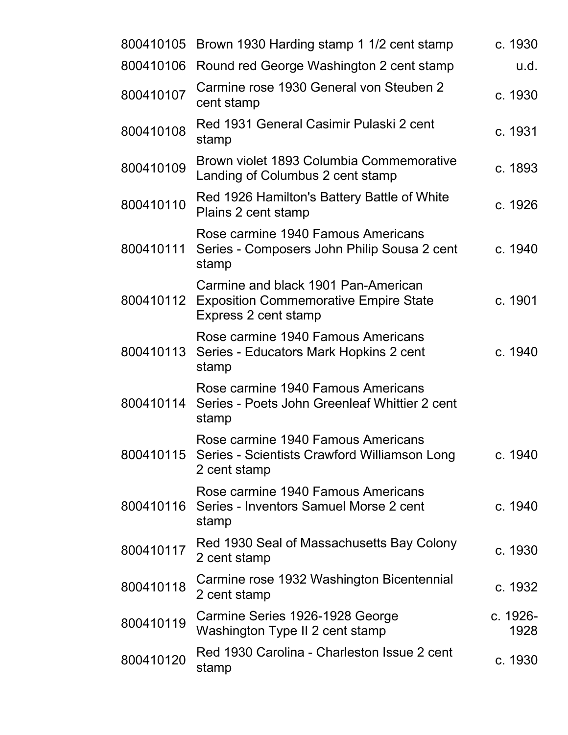|           | 800410105 Brown 1930 Harding stamp 1 1/2 cent stamp                                                            | c. 1930          |
|-----------|----------------------------------------------------------------------------------------------------------------|------------------|
| 800410106 | Round red George Washington 2 cent stamp                                                                       | u.d.             |
| 800410107 | Carmine rose 1930 General von Steuben 2<br>cent stamp                                                          | c. 1930          |
| 800410108 | Red 1931 General Casimir Pulaski 2 cent<br>stamp                                                               | c. 1931          |
| 800410109 | Brown violet 1893 Columbia Commemorative<br>Landing of Columbus 2 cent stamp                                   | c. 1893          |
| 800410110 | Red 1926 Hamilton's Battery Battle of White<br>Plains 2 cent stamp                                             | c. 1926          |
| 800410111 | Rose carmine 1940 Famous Americans<br>Series - Composers John Philip Sousa 2 cent<br>stamp                     | c. 1940          |
|           | Carmine and black 1901 Pan-American<br>800410112 Exposition Commemorative Empire State<br>Express 2 cent stamp | c. 1901          |
| 800410113 | Rose carmine 1940 Famous Americans<br>Series - Educators Mark Hopkins 2 cent<br>stamp                          | c. 1940          |
| 800410114 | Rose carmine 1940 Famous Americans<br>Series - Poets John Greenleaf Whittier 2 cent<br>stamp                   |                  |
|           | Rose carmine 1940 Famous Americans<br>800410115 Series - Scientists Crawford Williamson Long<br>2 cent stamp   | c. 1940          |
| 800410116 | Rose carmine 1940 Famous Americans<br>Series - Inventors Samuel Morse 2 cent<br>stamp                          | c. 1940          |
| 800410117 | Red 1930 Seal of Massachusetts Bay Colony<br>2 cent stamp                                                      | c. 1930          |
| 800410118 | Carmine rose 1932 Washington Bicentennial<br>2 cent stamp                                                      | c. 1932          |
| 800410119 | Carmine Series 1926-1928 George<br>Washington Type II 2 cent stamp                                             | c. 1926-<br>1928 |
| 800410120 | Red 1930 Carolina - Charleston Issue 2 cent<br>stamp                                                           | c. 1930          |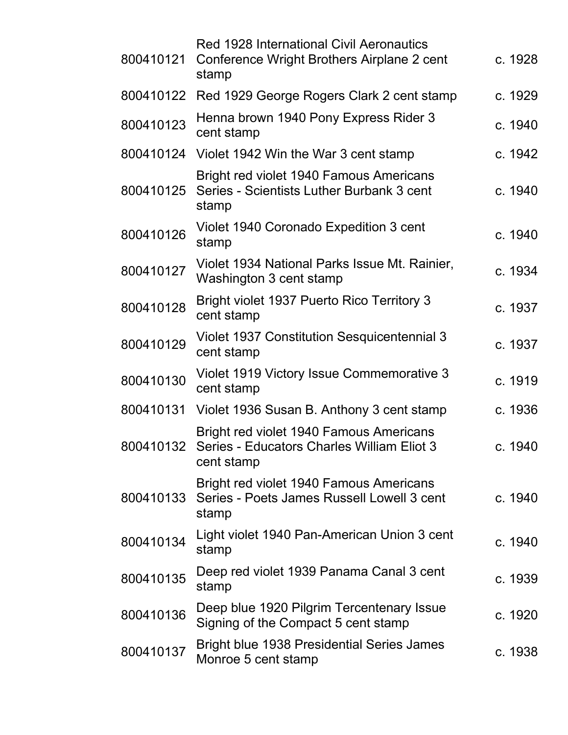| 800410121 | <b>Red 1928 International Civil Aeronautics</b><br>Conference Wright Brothers Airplane 2 cent<br>stamp | c. 1928 |  |
|-----------|--------------------------------------------------------------------------------------------------------|---------|--|
|           | 800410122 Red 1929 George Rogers Clark 2 cent stamp                                                    | c. 1929 |  |
| 800410123 | Henna brown 1940 Pony Express Rider 3<br>cent stamp                                                    | c. 1940 |  |
|           | 800410124 Violet 1942 Win the War 3 cent stamp                                                         | c. 1942 |  |
| 800410125 | Bright red violet 1940 Famous Americans<br>Series - Scientists Luther Burbank 3 cent<br>stamp          | c. 1940 |  |
| 800410126 | Violet 1940 Coronado Expedition 3 cent<br>stamp                                                        | c. 1940 |  |
| 800410127 | Violet 1934 National Parks Issue Mt. Rainier,<br>Washington 3 cent stamp                               | c. 1934 |  |
| 800410128 | <b>Bright violet 1937 Puerto Rico Territory 3</b><br>cent stamp                                        | c. 1937 |  |
| 800410129 | Violet 1937 Constitution Sesquicentennial 3<br>cent stamp                                              | c. 1937 |  |
| 800410130 | Violet 1919 Victory Issue Commemorative 3<br>cent stamp                                                | c. 1919 |  |
| 800410131 | Violet 1936 Susan B. Anthony 3 cent stamp                                                              | c. 1936 |  |
| 800410132 | Bright red violet 1940 Famous Americans<br>Series - Educators Charles William Eliot 3<br>cent stamp    | c. 1940 |  |
| 800410133 | <b>Bright red violet 1940 Famous Americans</b><br>Series - Poets James Russell Lowell 3 cent<br>stamp  | c. 1940 |  |
| 800410134 | Light violet 1940 Pan-American Union 3 cent<br>stamp                                                   | c. 1940 |  |
| 800410135 | Deep red violet 1939 Panama Canal 3 cent<br>stamp                                                      | c. 1939 |  |
| 800410136 | Deep blue 1920 Pilgrim Tercentenary Issue<br>Signing of the Compact 5 cent stamp                       | c. 1920 |  |
| 800410137 | Bright blue 1938 Presidential Series James<br>Monroe 5 cent stamp                                      | c. 1938 |  |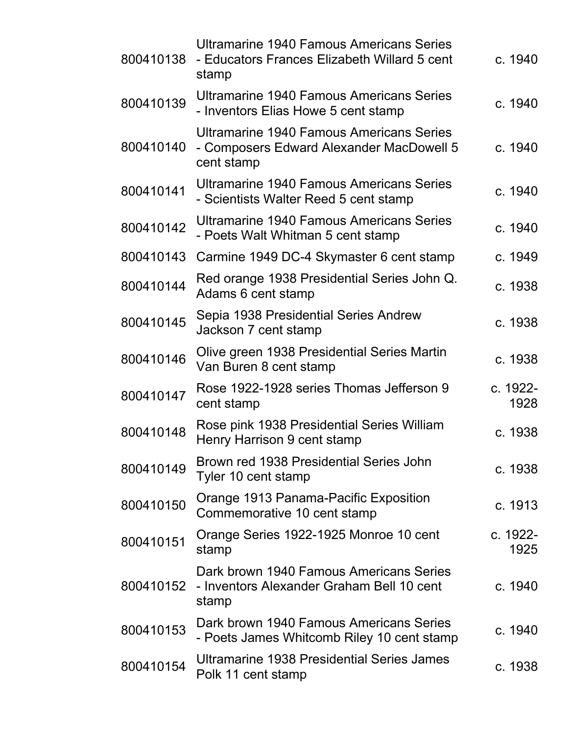| 800410138 | Ultramarine 1940 Famous Americans Series<br>- Educators Frances Elizabeth Willard 5 cent<br>stamp         | c. 1940          |
|-----------|-----------------------------------------------------------------------------------------------------------|------------------|
| 800410139 | Ultramarine 1940 Famous Americans Series<br>- Inventors Elias Howe 5 cent stamp                           | c. 1940          |
| 800410140 | <b>Ultramarine 1940 Famous Americans Series</b><br>- Composers Edward Alexander MacDowell 5<br>cent stamp | c. 1940          |
| 800410141 | Ultramarine 1940 Famous Americans Series<br>- Scientists Walter Reed 5 cent stamp                         | c. 1940          |
| 800410142 | <b>Ultramarine 1940 Famous Americans Series</b><br>- Poets Walt Whitman 5 cent stamp                      | c. 1940          |
| 800410143 | Carmine 1949 DC-4 Skymaster 6 cent stamp                                                                  | c. 1949          |
| 800410144 | Red orange 1938 Presidential Series John Q.<br>Adams 6 cent stamp                                         | c. 1938          |
| 800410145 | Sepia 1938 Presidential Series Andrew<br>Jackson 7 cent stamp                                             | c. 1938          |
| 800410146 | Olive green 1938 Presidential Series Martin<br>Van Buren 8 cent stamp                                     | c. 1938          |
| 800410147 | Rose 1922-1928 series Thomas Jefferson 9<br>cent stamp                                                    | c. 1922-<br>1928 |
| 800410148 | Rose pink 1938 Presidential Series William<br>Henry Harrison 9 cent stamp                                 | c. 1938          |
| 800410149 | Brown red 1938 Presidential Series John<br>Tyler 10 cent stamp                                            | c. 1938          |
| 800410150 | Orange 1913 Panama-Pacific Exposition<br>Commemorative 10 cent stamp                                      | c. 1913          |
| 800410151 | Orange Series 1922-1925 Monroe 10 cent<br>stamp                                                           | c. 1922-<br>1925 |
| 800410152 | Dark brown 1940 Famous Americans Series<br>- Inventors Alexander Graham Bell 10 cent<br>stamp             | c. 1940          |
| 800410153 | Dark brown 1940 Famous Americans Series<br>- Poets James Whitcomb Riley 10 cent stamp                     | c. 1940          |
| 800410154 | Ultramarine 1938 Presidential Series James<br>Polk 11 cent stamp                                          | c. 1938          |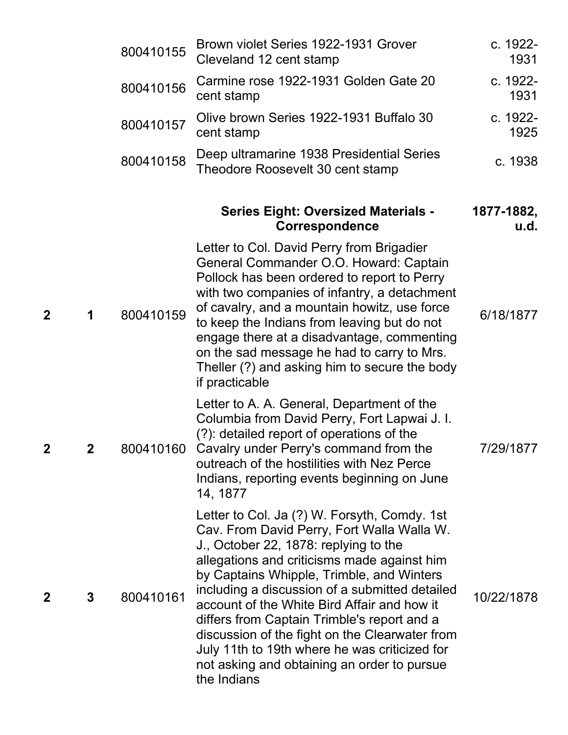|   |   | 800410155 | Brown violet Series 1922-1931 Grover<br>Cleveland 12 cent stamp                                                                                                                                                                                                                                                                                                                                                                                                                                                                                  | c. 1922-<br>1931   |
|---|---|-----------|--------------------------------------------------------------------------------------------------------------------------------------------------------------------------------------------------------------------------------------------------------------------------------------------------------------------------------------------------------------------------------------------------------------------------------------------------------------------------------------------------------------------------------------------------|--------------------|
|   |   | 800410156 | Carmine rose 1922-1931 Golden Gate 20<br>cent stamp                                                                                                                                                                                                                                                                                                                                                                                                                                                                                              | c. 1922-<br>1931   |
|   |   | 800410157 | Olive brown Series 1922-1931 Buffalo 30<br>cent stamp                                                                                                                                                                                                                                                                                                                                                                                                                                                                                            | c. 1922-<br>1925   |
|   |   | 800410158 | Deep ultramarine 1938 Presidential Series<br>Theodore Roosevelt 30 cent stamp                                                                                                                                                                                                                                                                                                                                                                                                                                                                    | c. 1938            |
|   |   |           | <b>Series Eight: Oversized Materials -</b><br><b>Correspondence</b>                                                                                                                                                                                                                                                                                                                                                                                                                                                                              | 1877-1882,<br>u.d. |
| 2 | 1 | 800410159 | Letter to Col. David Perry from Brigadier<br>General Commander O.O. Howard: Captain<br>Pollock has been ordered to report to Perry<br>with two companies of infantry, a detachment<br>of cavalry, and a mountain howitz, use force<br>to keep the Indians from leaving but do not<br>engage there at a disadvantage, commenting<br>on the sad message he had to carry to Mrs.<br>Theller (?) and asking him to secure the body<br>if practicable                                                                                                 | 6/18/1877          |
| 2 |   |           | Letter to A. A. General, Department of the<br>Columbia from David Perry, Fort Lapwai J. I.<br>(?): detailed report of operations of the<br>800410160 Cavalry under Perry's command from the<br>outreach of the hostilities with Nez Perce<br>Indians, reporting events beginning on June<br>14, 1877                                                                                                                                                                                                                                             | 7/29/1877          |
| 2 | 3 | 800410161 | Letter to Col. Ja (?) W. Forsyth, Comdy. 1st<br>Cav. From David Perry, Fort Walla Walla W.<br>J., October 22, 1878: replying to the<br>allegations and criticisms made against him<br>by Captains Whipple, Trimble, and Winters<br>including a discussion of a submitted detailed<br>account of the White Bird Affair and how it<br>differs from Captain Trimble's report and a<br>discussion of the fight on the Clearwater from<br>July 11th to 19th where he was criticized for<br>not asking and obtaining an order to pursue<br>the Indians | 10/22/1878         |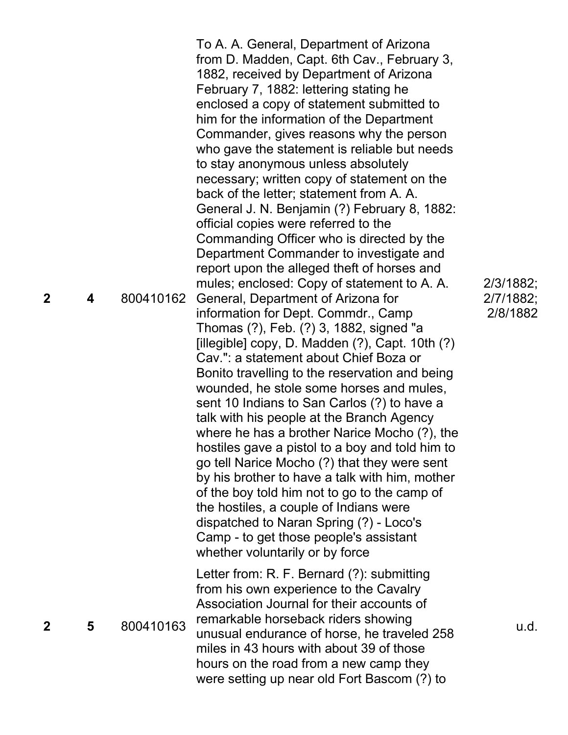| $\mathbf 2$ | 4 | 800410162 | To A. A. General, Department of Arizona<br>from D. Madden, Capt. 6th Cav., February 3,<br>1882, received by Department of Arizona<br>February 7, 1882: lettering stating he<br>enclosed a copy of statement submitted to<br>him for the information of the Department<br>Commander, gives reasons why the person<br>who gave the statement is reliable but needs<br>to stay anonymous unless absolutely<br>necessary; written copy of statement on the<br>back of the letter; statement from A. A.<br>General J. N. Benjamin (?) February 8, 1882:<br>official copies were referred to the<br>Commanding Officer who is directed by the<br>Department Commander to investigate and<br>report upon the alleged theft of horses and<br>mules; enclosed: Copy of statement to A. A.<br>General, Department of Arizona for<br>information for Dept. Commdr., Camp<br>Thomas (?), Feb. (?) 3, 1882, signed "a<br>[illegible] copy, D. Madden $(?)$ , Capt. 10th $(?)$<br>Cav.": a statement about Chief Boza or<br>Bonito travelling to the reservation and being<br>wounded, he stole some horses and mules,<br>sent 10 Indians to San Carlos (?) to have a<br>talk with his people at the Branch Agency<br>where he has a brother Narice Mocho (?), the<br>hostiles gave a pistol to a boy and told him to<br>go tell Narice Mocho (?) that they were sent<br>by his brother to have a talk with him, mother<br>of the boy told him not to go to the camp of<br>the hostiles, a couple of Indians were<br>dispatched to Naran Spring (?) - Loco's<br>Camp - to get those people's assistant<br>whether voluntarily or by force | 2/3/1882;<br>2/7/1882;<br>2/8/1882 |
|-------------|---|-----------|-----------------------------------------------------------------------------------------------------------------------------------------------------------------------------------------------------------------------------------------------------------------------------------------------------------------------------------------------------------------------------------------------------------------------------------------------------------------------------------------------------------------------------------------------------------------------------------------------------------------------------------------------------------------------------------------------------------------------------------------------------------------------------------------------------------------------------------------------------------------------------------------------------------------------------------------------------------------------------------------------------------------------------------------------------------------------------------------------------------------------------------------------------------------------------------------------------------------------------------------------------------------------------------------------------------------------------------------------------------------------------------------------------------------------------------------------------------------------------------------------------------------------------------------------------------------------------------------------------------------------------|------------------------------------|
| $\mathbf 2$ | 5 | 800410163 | Letter from: R. F. Bernard (?): submitting<br>from his own experience to the Cavalry<br>Association Journal for their accounts of<br>remarkable horseback riders showing<br>unusual endurance of horse, he traveled 258<br>miles in 43 hours with about 39 of those                                                                                                                                                                                                                                                                                                                                                                                                                                                                                                                                                                                                                                                                                                                                                                                                                                                                                                                                                                                                                                                                                                                                                                                                                                                                                                                                                         | u.d.                               |